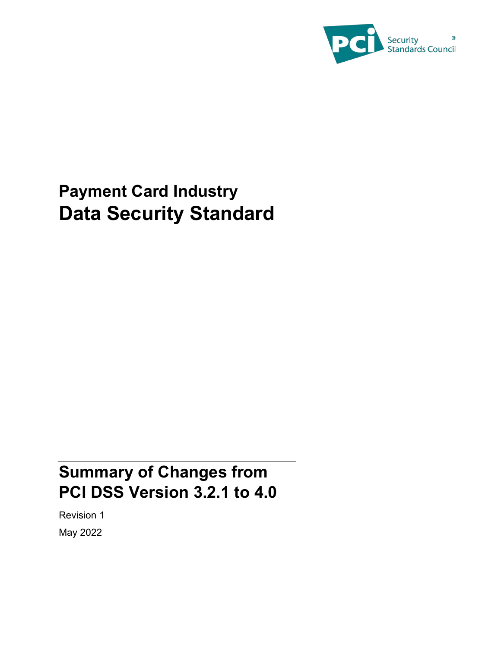

# **Payment Card Industry Data Security Standard**

## **Summary of Changes from PCI DSS Version 3.2.1 to 4.0**

Revision 1 May 2022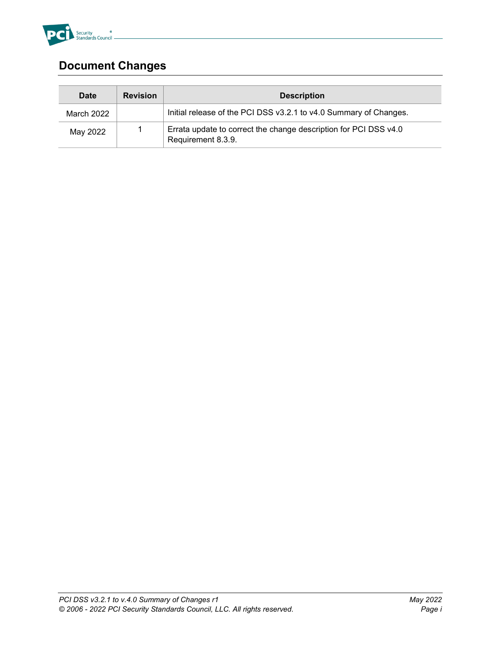

#### **Document Changes**

| Date                           | <b>Revision</b> | <b>Description</b>                                                |  |
|--------------------------------|-----------------|-------------------------------------------------------------------|--|
| March 2022                     |                 | Initial release of the PCI DSS v3.2.1 to v4.0 Summary of Changes. |  |
| May 2022<br>Requirement 8.3.9. |                 | Errata update to correct the change description for PCI DSS v4.0  |  |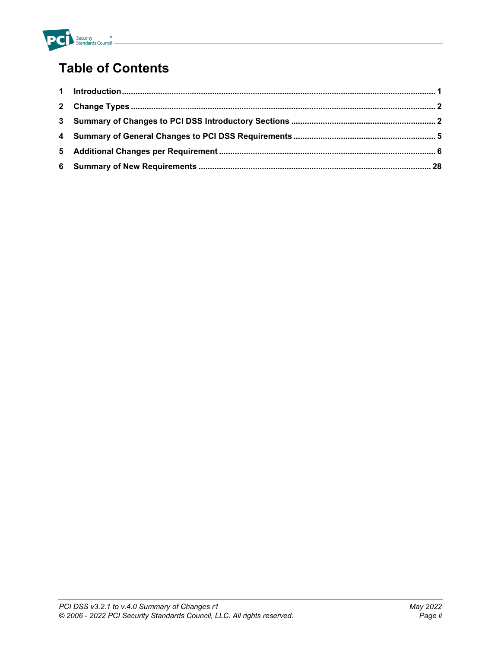

### **Table of Contents**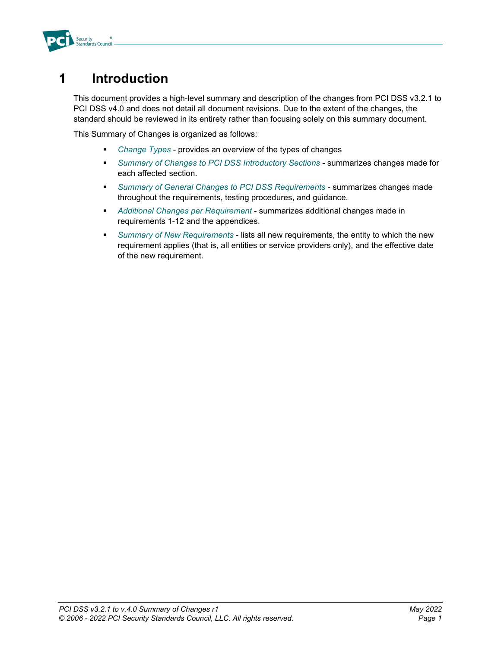

#### <span id="page-3-0"></span>**1 Introduction**

This document provides a high-level summary and description of the changes from PCI DSS v3.2.1 to PCI DSS v4.0 and does not detail all document revisions. Due to the extent of the changes, the standard should be reviewed in its entirety rather than focusing solely on this summary document.

This Summary of Changes is organized as follows:

- *[Change Types](#page-4-0)* provides an overview of the types of changes
- *[Summary of Changes to PCI DSS Introductory Sections](#page-4-1)* summarizes changes made for each affected section.
- *Summary of [General Changes to PCI DSS Requirements](#page-7-0)* summarizes changes made throughout the requirements, testing procedures, and guidance.
- *[Additional Changes per](#page-8-0) Requirement* summarizes additional changes made in requirements 1-12 and the appendices.
- *[Summary of New Requirements](#page-30-0)* lists all new requirements, the entity to which the new requirement applies (that is, all entities or service providers only), and the effective date of the new requirement.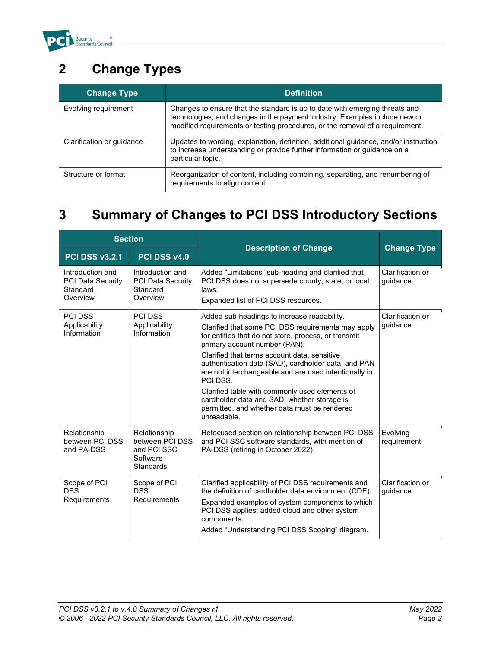

## <span id="page-4-0"></span>**2 Change Types**

| <b>Change Type</b>        | <b>Definition</b>                                                                                                                                                                                                                          |
|---------------------------|--------------------------------------------------------------------------------------------------------------------------------------------------------------------------------------------------------------------------------------------|
| Evolving requirement      | Changes to ensure that the standard is up to date with emerging threats and<br>technologies, and changes in the payment industry. Examples include new or<br>modified requirements or testing procedures, or the removal of a requirement. |
| Clarification or guidance | Updates to wording, explanation, definition, additional guidance, and/or instruction<br>to increase understanding or provide further information or guidance on a<br>particular topic.                                                     |
| Structure or format       | Reorganization of content, including combining, separating, and renumbering of<br>requirements to align content.                                                                                                                           |

### <span id="page-4-1"></span>**3 Summary of Changes to PCI DSS Introductory Sections**

| <b>Section</b>                                                       |                                                                                | <b>Description of Change</b>                                                                                                                                                                                                                                                                                                                                                                                             | <b>Change Type</b>           |
|----------------------------------------------------------------------|--------------------------------------------------------------------------------|--------------------------------------------------------------------------------------------------------------------------------------------------------------------------------------------------------------------------------------------------------------------------------------------------------------------------------------------------------------------------------------------------------------------------|------------------------------|
| <b>PCI DSS v3.2.1</b>                                                | PCI DSS v4.0                                                                   |                                                                                                                                                                                                                                                                                                                                                                                                                          |                              |
| Introduction and<br><b>PCI Data Security</b><br>Standard<br>Overview | Introduction and<br><b>PCI Data Security</b><br>Standard<br>Overview           | Added "Limitations" sub-heading and clarified that<br>PCI DSS does not supersede county, state, or local<br>laws.<br>Expanded list of PCI DSS resources.                                                                                                                                                                                                                                                                 | Clarification or<br>quidance |
| <b>PCI DSS</b><br>Applicability<br>Information                       | <b>PCI DSS</b><br>Applicability<br>Information                                 | Added sub-headings to increase readability.<br>Clarified that some PCI DSS requirements may apply<br>for entities that do not store, process, or transmit<br>primary account number (PAN).<br>Clarified that terms account data, sensitive<br>authentication data (SAD), cardholder data, and PAN<br>are not interchangeable and are used intentionally in<br>PCI DSS.<br>Clarified table with commonly used elements of | Clarification or<br>quidance |
|                                                                      |                                                                                | cardholder data and SAD, whether storage is<br>permitted, and whether data must be rendered<br>unreadable.                                                                                                                                                                                                                                                                                                               |                              |
| Relationship<br>between PCI DSS<br>and PA-DSS                        | Relationship<br>between PCI DSS<br>and PCI SSC<br>Software<br><b>Standards</b> | Refocused section on relationship between PCI DSS<br>and PCI SSC software standards, with mention of<br>PA-DSS (retiring in October 2022).                                                                                                                                                                                                                                                                               | Evolving<br>requirement      |
| Scope of PCI<br><b>DSS</b><br>Requirements                           | Scope of PCI<br><b>DSS</b><br>Requirements                                     | Clarified applicability of PCI DSS requirements and<br>the definition of cardholder data environment (CDE).<br>Expanded examples of system components to which<br>PCI DSS applies; added cloud and other system<br>components.<br>Added "Understanding PCI DSS Scoping" diagram.                                                                                                                                         | Clarification or<br>guidance |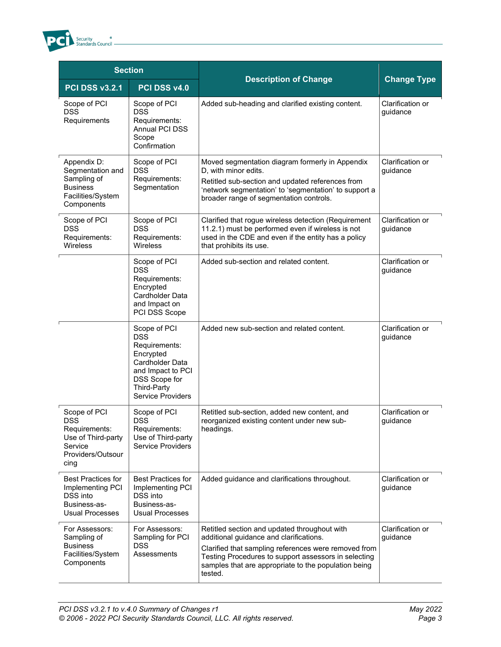

| <b>Section</b>                                                                                            |                                                                                                                                                              |                                                                                                                                                                                                                                                                            |                              |
|-----------------------------------------------------------------------------------------------------------|--------------------------------------------------------------------------------------------------------------------------------------------------------------|----------------------------------------------------------------------------------------------------------------------------------------------------------------------------------------------------------------------------------------------------------------------------|------------------------------|
| <b>PCI DSS v3.2.1</b>                                                                                     | PCI DSS v4.0                                                                                                                                                 | <b>Description of Change</b>                                                                                                                                                                                                                                               | <b>Change Type</b>           |
| Scope of PCI<br><b>DSS</b><br>Requirements                                                                | Scope of PCI<br><b>DSS</b><br>Requirements:<br>Annual PCI DSS<br>Scope<br>Confirmation                                                                       | Added sub-heading and clarified existing content.                                                                                                                                                                                                                          | Clarification or<br>guidance |
| Appendix D:<br>Segmentation and<br>Sampling of<br><b>Business</b><br>Facilities/System<br>Components      | Scope of PCI<br><b>DSS</b><br>Requirements:<br>Segmentation                                                                                                  | Moved segmentation diagram formerly in Appendix<br>D, with minor edits.<br>Retitled sub-section and updated references from<br>'network segmentation' to 'segmentation' to support a<br>broader range of segmentation controls.                                            | Clarification or<br>guidance |
| Scope of PCI<br><b>DSS</b><br>Requirements:<br>Wireless                                                   | Scope of PCI<br><b>DSS</b><br>Requirements:<br><b>Wireless</b>                                                                                               | Clarified that rogue wireless detection (Requirement<br>11.2.1) must be performed even if wireless is not<br>used in the CDE and even if the entity has a policy<br>that prohibits its use.                                                                                | Clarification or<br>guidance |
|                                                                                                           | Scope of PCI<br><b>DSS</b><br>Requirements:<br>Encrypted<br>Cardholder Data<br>and Impact on<br>PCI DSS Scope                                                | Added sub-section and related content.                                                                                                                                                                                                                                     | Clarification or<br>guidance |
|                                                                                                           | Scope of PCI<br><b>DSS</b><br>Requirements:<br>Encrypted<br>Cardholder Data<br>and Impact to PCI<br>DSS Scope for<br>Third-Party<br><b>Service Providers</b> | Added new sub-section and related content.                                                                                                                                                                                                                                 | Clarification or<br>guidance |
| Scope of PCI<br><b>DSS</b><br>Requirements:<br>Use of Third-party<br>Service<br>Providers/Outsour<br>cing | Scope of PCI<br>DSS<br>Requirements:<br>Use of Third-party<br><b>Service Providers</b>                                                                       | Retitled sub-section, added new content, and<br>reorganized existing content under new sub-<br>headings.                                                                                                                                                                   | Clarification or<br>guidance |
| <b>Best Practices for</b><br>Implementing PCI<br>DSS into<br>Business-as-<br><b>Usual Processes</b>       | <b>Best Practices for</b><br>Implementing PCI<br>DSS into<br>Business-as-<br><b>Usual Processes</b>                                                          | Added guidance and clarifications throughout.                                                                                                                                                                                                                              | Clarification or<br>quidance |
| For Assessors:<br>Sampling of<br><b>Business</b><br>Facilities/System<br>Components                       | For Assessors:<br>Sampling for PCI<br>DSS<br>Assessments                                                                                                     | Retitled section and updated throughout with<br>additional guidance and clarifications.<br>Clarified that sampling references were removed from<br>Testing Procedures to support assessors in selecting<br>samples that are appropriate to the population being<br>tested. | Clarification or<br>guidance |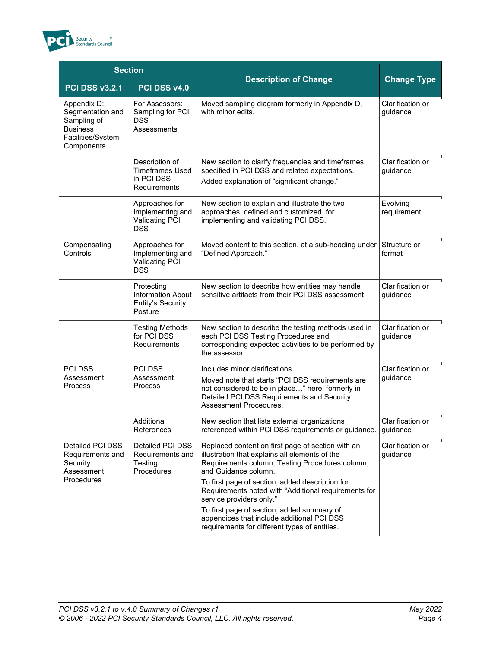

| <b>Section</b>                                                                                       |                                                                               |                                                                                                                                                                                                                                                                                           |                              |
|------------------------------------------------------------------------------------------------------|-------------------------------------------------------------------------------|-------------------------------------------------------------------------------------------------------------------------------------------------------------------------------------------------------------------------------------------------------------------------------------------|------------------------------|
| <b>PCI DSS v3.2.1</b>                                                                                | PCI DSS v4.0                                                                  | <b>Description of Change</b>                                                                                                                                                                                                                                                              | <b>Change Type</b>           |
| Appendix D:<br>Segmentation and<br>Sampling of<br><b>Business</b><br>Facilities/System<br>Components | For Assessors:<br>Sampling for PCI<br><b>DSS</b><br>Assessments               | Moved sampling diagram formerly in Appendix D,<br>with minor edits.                                                                                                                                                                                                                       | Clarification or<br>guidance |
|                                                                                                      | Description of<br><b>Timeframes Used</b><br>in PCI DSS<br>Requirements        | New section to clarify frequencies and timeframes<br>specified in PCI DSS and related expectations.<br>Added explanation of "significant change."                                                                                                                                         | Clarification or<br>guidance |
|                                                                                                      | Approaches for<br>Implementing and<br><b>Validating PCI</b><br><b>DSS</b>     | New section to explain and illustrate the two<br>approaches, defined and customized, for<br>implementing and validating PCI DSS.                                                                                                                                                          | Evolving<br>requirement      |
| Compensating<br>Controls                                                                             | Approaches for<br>Implementing and<br><b>Validating PCI</b><br><b>DSS</b>     | Moved content to this section, at a sub-heading under<br>"Defined Approach."                                                                                                                                                                                                              | Structure or<br>format       |
|                                                                                                      | Protecting<br><b>Information About</b><br><b>Entity's Security</b><br>Posture | New section to describe how entities may handle<br>sensitive artifacts from their PCI DSS assessment.                                                                                                                                                                                     | Clarification or<br>guidance |
|                                                                                                      | <b>Testing Methods</b><br>for PCI DSS<br>Requirements                         | New section to describe the testing methods used in<br>each PCI DSS Testing Procedures and<br>corresponding expected activities to be performed by<br>the assessor.                                                                                                                       | Clarification or<br>guidance |
| PCI DSS<br>Assessment<br>Process                                                                     | <b>PCI DSS</b><br>Assessment<br>Process                                       | Includes minor clarifications.<br>Moved note that starts "PCI DSS requirements are<br>not considered to be in place" here, formerly in<br>Detailed PCI DSS Requirements and Security<br>Assessment Procedures.                                                                            | Clarification or<br>guidance |
|                                                                                                      | Additional<br>References                                                      | New section that lists external organizations<br>referenced within PCI DSS requirements or guidance.                                                                                                                                                                                      | Clarification or<br>guidance |
| Detailed PCI DSS<br>Requirements and<br>Security<br>Assessment<br>Procedures                         | Detailed PCI DSS<br>Requirements and<br>Testing<br>Procedures                 | Replaced content on first page of section with an<br>illustration that explains all elements of the<br>Requirements column, Testing Procedures column,<br>and Guidance column.<br>To first page of section, added description for<br>Requirements noted with "Additional requirements for | Clarification or<br>quidance |
|                                                                                                      |                                                                               | service providers only."<br>To first page of section, added summary of<br>appendices that include additional PCI DSS<br>requirements for different types of entities.                                                                                                                     |                              |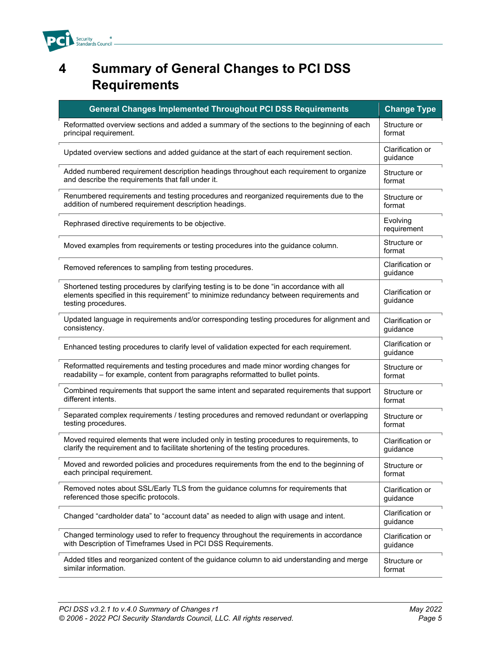

#### <span id="page-7-0"></span>**4 Summary of General Changes to PCI DSS Requirements**

| <b>General Changes Implemented Throughout PCI DSS Requirements</b>                                                                                                                                         | <b>Change Type</b>           |
|------------------------------------------------------------------------------------------------------------------------------------------------------------------------------------------------------------|------------------------------|
| Reformatted overview sections and added a summary of the sections to the beginning of each                                                                                                                 | Structure or                 |
| principal requirement.                                                                                                                                                                                     | format                       |
| Updated overview sections and added guidance at the start of each requirement section.                                                                                                                     | Clarification or<br>guidance |
| Added numbered requirement description headings throughout each requirement to organize                                                                                                                    | Structure or                 |
| and describe the requirements that fall under it.                                                                                                                                                          | format                       |
| Renumbered requirements and testing procedures and reorganized requirements due to the                                                                                                                     | Structure or                 |
| addition of numbered requirement description headings.                                                                                                                                                     | format                       |
| Rephrased directive requirements to be objective.                                                                                                                                                          | Evolving<br>requirement      |
| Moved examples from requirements or testing procedures into the guidance column.                                                                                                                           | Structure or<br>format       |
| Removed references to sampling from testing procedures.                                                                                                                                                    | Clarification or<br>guidance |
| Shortened testing procedures by clarifying testing is to be done "in accordance with all<br>elements specified in this requirement" to minimize redundancy between requirements and<br>testing procedures. | Clarification or<br>guidance |
| Updated language in requirements and/or corresponding testing procedures for alignment and                                                                                                                 | Clarification or             |
| consistency.                                                                                                                                                                                               | guidance                     |
| Enhanced testing procedures to clarify level of validation expected for each requirement.                                                                                                                  | Clarification or<br>guidance |
| Reformatted requirements and testing procedures and made minor wording changes for                                                                                                                         | Structure or                 |
| readability - for example, content from paragraphs reformatted to bullet points.                                                                                                                           | format                       |
| Combined requirements that support the same intent and separated requirements that support                                                                                                                 | Structure or                 |
| different intents.                                                                                                                                                                                         | format                       |
| Separated complex requirements / testing procedures and removed redundant or overlapping                                                                                                                   | Structure or                 |
| testing procedures.                                                                                                                                                                                        | format                       |
| Moved required elements that were included only in testing procedures to requirements, to                                                                                                                  | Clarification or             |
| clarify the requirement and to facilitate shortening of the testing procedures.                                                                                                                            | guidance                     |
| Moved and reworded policies and procedures requirements from the end to the beginning of                                                                                                                   | Structure or                 |
| each principal requirement.                                                                                                                                                                                | format                       |
| Removed notes about SSL/Early TLS from the guidance columns for requirements that                                                                                                                          | Clarification or             |
| referenced those specific protocols.                                                                                                                                                                       | guidance                     |
| Changed "cardholder data" to "account data" as needed to align with usage and intent.                                                                                                                      | Clarification or<br>guidance |
| Changed terminology used to refer to frequency throughout the requirements in accordance                                                                                                                   | Clarification or             |
| with Description of Timeframes Used in PCI DSS Requirements.                                                                                                                                               | guidance                     |
| Added titles and reorganized content of the guidance column to aid understanding and merge                                                                                                                 | Structure or                 |
| similar information.                                                                                                                                                                                       | format                       |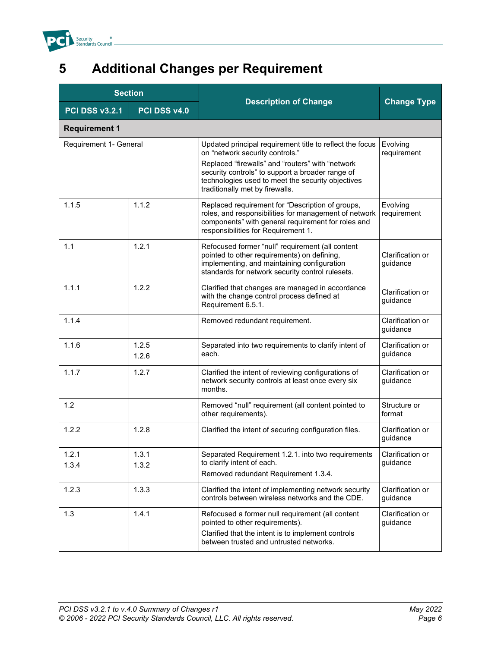

## <span id="page-8-0"></span>**5 Additional Changes per Requirement**

| <b>Section</b>         |                |                                                                                                                                                                                                        |                              |
|------------------------|----------------|--------------------------------------------------------------------------------------------------------------------------------------------------------------------------------------------------------|------------------------------|
| <b>PCI DSS v3.2.1</b>  | PCI DSS v4.0   | <b>Description of Change</b>                                                                                                                                                                           | <b>Change Type</b>           |
| <b>Requirement 1</b>   |                |                                                                                                                                                                                                        |                              |
| Requirement 1- General |                | Updated principal requirement title to reflect the focus<br>on "network security controls."<br>Replaced "firewalls" and "routers" with "network<br>security controls" to support a broader range of    | Evolving<br>requirement      |
|                        |                | technologies used to meet the security objectives<br>traditionally met by firewalls.                                                                                                                   |                              |
| 1.1.5                  | 1.1.2          | Replaced requirement for "Description of groups,<br>roles, and responsibilities for management of network<br>components" with general requirement for roles and<br>responsibilities for Requirement 1. | Evolving<br>requirement      |
| 1.1                    | 1.2.1          | Refocused former "null" requirement (all content<br>pointed to other requirements) on defining,<br>implementing, and maintaining configuration<br>standards for network security control rulesets.     | Clarification or<br>guidance |
| 1.1.1                  | 1.2.2          | Clarified that changes are managed in accordance<br>with the change control process defined at<br>Requirement 6.5.1.                                                                                   | Clarification or<br>guidance |
| 1.1.4                  |                | Removed redundant requirement.                                                                                                                                                                         | Clarification or<br>guidance |
| 1.1.6                  | 1.2.5<br>1.2.6 | Separated into two requirements to clarify intent of<br>each.                                                                                                                                          | Clarification or<br>guidance |
| 1.1.7                  | 1.2.7          | Clarified the intent of reviewing configurations of<br>network security controls at least once every six<br>months.                                                                                    | Clarification or<br>guidance |
| 1.2                    |                | Removed "null" requirement (all content pointed to<br>other requirements).                                                                                                                             | Structure or<br>format       |
| 1.2.2                  | 1.2.8          | Clarified the intent of securing configuration files.                                                                                                                                                  | Clarification or<br>guidance |
| 1.2.1                  | 1.3.1          | Separated Requirement 1.2.1. into two requirements                                                                                                                                                     | Clarification or             |
| 1.3.4                  | 1.3.2          | to clarify intent of each.<br>Removed redundant Requirement 1.3.4.                                                                                                                                     | guidance                     |
| 1.2.3                  | 1.3.3          | Clarified the intent of implementing network security<br>controls between wireless networks and the CDE.                                                                                               | Clarification or<br>guidance |
| 1.3                    | 1.4.1          | Refocused a former null requirement (all content<br>pointed to other requirements).<br>Clarified that the intent is to implement controls<br>between trusted and untrusted networks.                   | Clarification or<br>guidance |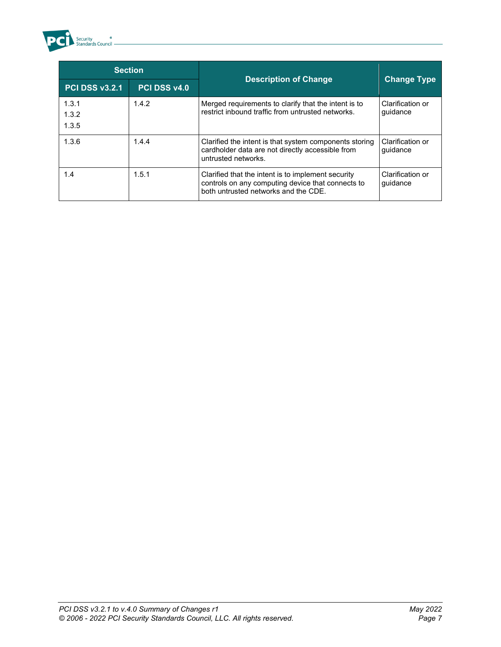

| <b>Section</b>          |              |                                                                                                                                                 |                              |
|-------------------------|--------------|-------------------------------------------------------------------------------------------------------------------------------------------------|------------------------------|
| PCI DSS v3.2.1          | PCI DSS v4.0 | <b>Description of Change</b>                                                                                                                    | <b>Change Type</b>           |
| 1.3.1<br>1.3.2<br>1.3.5 | 1.4.2        | Merged requirements to clarify that the intent is to<br>restrict inbound traffic from untrusted networks.                                       | Clarification or<br>quidance |
| 1.3.6                   | 1.4.4        | Clarified the intent is that system components storing<br>cardholder data are not directly accessible from<br>untrusted networks.               | Clarification or<br>guidance |
| 1.4                     | 1.5.1        | Clarified that the intent is to implement security<br>controls on any computing device that connects to<br>both untrusted networks and the CDF. | Clarification or<br>quidance |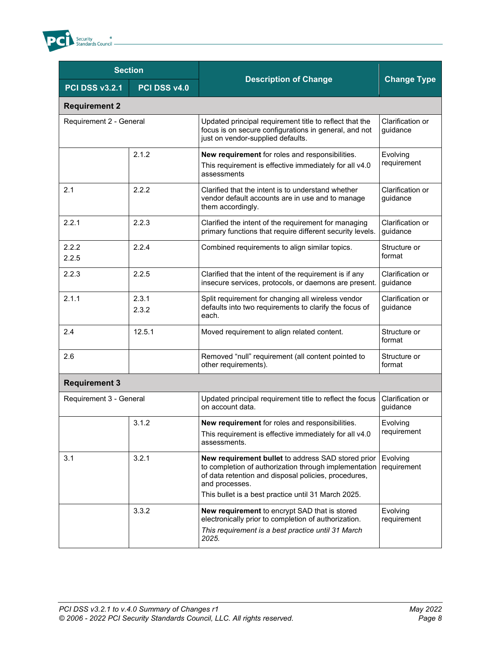

| <b>Section</b>          |                |                                                                                                                                                                                                                                              |                              |
|-------------------------|----------------|----------------------------------------------------------------------------------------------------------------------------------------------------------------------------------------------------------------------------------------------|------------------------------|
| <b>PCI DSS v3.2.1</b>   | PCI DSS v4.0   | <b>Description of Change</b>                                                                                                                                                                                                                 | <b>Change Type</b>           |
| <b>Requirement 2</b>    |                |                                                                                                                                                                                                                                              |                              |
| Requirement 2 - General |                | Updated principal requirement title to reflect that the<br>focus is on secure configurations in general, and not<br>just on vendor-supplied defaults.                                                                                        | Clarification or<br>guidance |
|                         | 2.1.2          | New requirement for roles and responsibilities.<br>This requirement is effective immediately for all v4.0<br>assessments                                                                                                                     | Evolving<br>requirement      |
| 2.1                     | 2.2.2          | Clarified that the intent is to understand whether<br>vendor default accounts are in use and to manage<br>them accordingly.                                                                                                                  | Clarification or<br>guidance |
| 2.2.1                   | 2.2.3          | Clarified the intent of the requirement for managing<br>primary functions that require different security levels.                                                                                                                            | Clarification or<br>guidance |
| 2.2.2<br>2.2.5          | 2.2.4          | Combined requirements to align similar topics.                                                                                                                                                                                               | Structure or<br>format       |
| 2.2.3                   | 2.2.5          | Clarified that the intent of the requirement is if any<br>insecure services, protocols, or daemons are present.                                                                                                                              | Clarification or<br>guidance |
| 2.1.1                   | 2.3.1<br>2.3.2 | Split requirement for changing all wireless vendor<br>defaults into two requirements to clarify the focus of<br>each.                                                                                                                        | Clarification or<br>guidance |
| 2.4                     | 12.5.1         | Moved requirement to align related content.                                                                                                                                                                                                  | Structure or<br>format       |
| 2.6                     |                | Removed "null" requirement (all content pointed to<br>other requirements).                                                                                                                                                                   | Structure or<br>format       |
| <b>Requirement 3</b>    |                |                                                                                                                                                                                                                                              |                              |
| Requirement 3 - General |                | Updated principal requirement title to reflect the focus<br>on account data.                                                                                                                                                                 | Clarification or<br>guidance |
|                         | 3.1.2          | New requirement for roles and responsibilities.<br>This requirement is effective immediately for all v4.0<br>assessments.                                                                                                                    | Evolving<br>requirement      |
| 3.1                     | 3.2.1          | New requirement bullet to address SAD stored prior<br>to completion of authorization through implementation<br>of data retention and disposal policies, procedures,<br>and processes.<br>This bullet is a best practice until 31 March 2025. | Evolving<br>requirement      |
|                         | 3.3.2          | New requirement to encrypt SAD that is stored<br>electronically prior to completion of authorization.<br>This requirement is a best practice until 31 March<br>2025.                                                                         | Evolving<br>requirement      |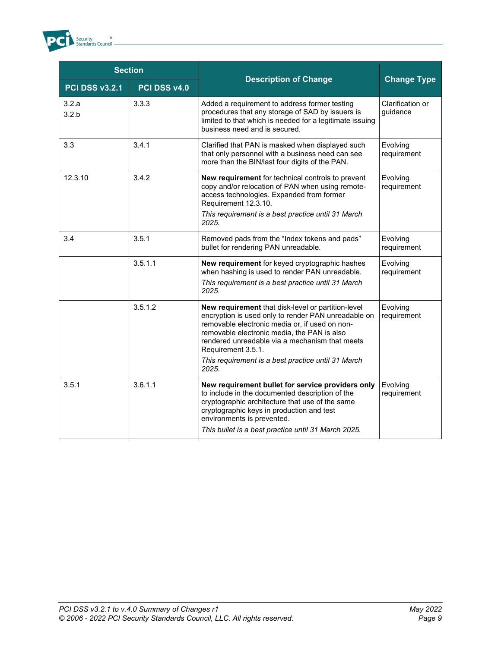

| <b>Section</b>        |              |                                                                                                                                                                                                                                                                                                                                                   |                              |
|-----------------------|--------------|---------------------------------------------------------------------------------------------------------------------------------------------------------------------------------------------------------------------------------------------------------------------------------------------------------------------------------------------------|------------------------------|
| <b>PCI DSS v3.2.1</b> | PCI DSS v4.0 | <b>Description of Change</b>                                                                                                                                                                                                                                                                                                                      | <b>Change Type</b>           |
| 3.2.a<br>3.2.b        | 3.3.3        | Added a requirement to address former testing<br>procedures that any storage of SAD by issuers is<br>limited to that which is needed for a legitimate issuing<br>business need and is secured.                                                                                                                                                    | Clarification or<br>guidance |
| 3.3                   | 3.4.1        | Clarified that PAN is masked when displayed such<br>that only personnel with a business need can see<br>more than the BIN/last four digits of the PAN.                                                                                                                                                                                            | Evolving<br>requirement      |
| 12.3.10               | 3.4.2        | New requirement for technical controls to prevent<br>copy and/or relocation of PAN when using remote-<br>access technologies. Expanded from former<br>Requirement 12.3.10.<br>This requirement is a best practice until 31 March<br>2025.                                                                                                         | Evolving<br>requirement      |
| 3.4                   | 3.5.1        | Removed pads from the "Index tokens and pads"<br>bullet for rendering PAN unreadable.                                                                                                                                                                                                                                                             | Evolving<br>requirement      |
|                       | 3.5.1.1      | New requirement for keyed cryptographic hashes<br>when hashing is used to render PAN unreadable.<br>This requirement is a best practice until 31 March<br>2025.                                                                                                                                                                                   | Evolving<br>requirement      |
|                       | 3.5.1.2      | New requirement that disk-level or partition-level<br>encryption is used only to render PAN unreadable on<br>removable electronic media or, if used on non-<br>removable electronic media, the PAN is also<br>rendered unreadable via a mechanism that meets<br>Requirement 3.5.1.<br>This requirement is a best practice until 31 March<br>2025. | Evolving<br>requirement      |
| 3.5.1                 | 3.6.1.1      | New requirement bullet for service providers only<br>to include in the documented description of the<br>cryptographic architecture that use of the same<br>cryptographic keys in production and test<br>environments is prevented.<br>This bullet is a best practice until 31 March 2025.                                                         | Evolving<br>requirement      |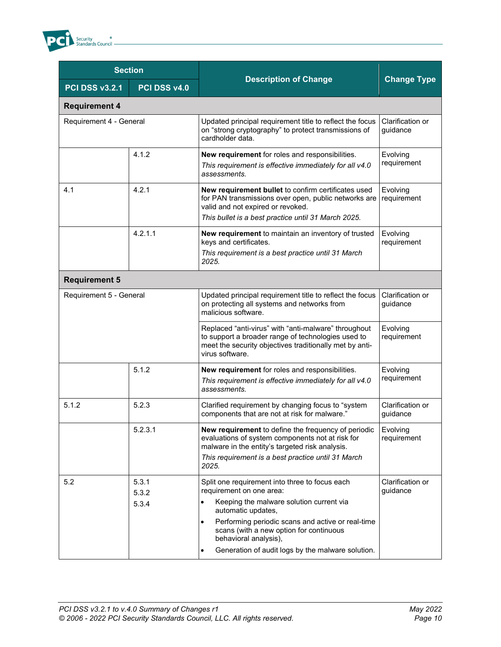

| <b>Section</b>          |                |                                                                                                                                                                                                         |                              |
|-------------------------|----------------|---------------------------------------------------------------------------------------------------------------------------------------------------------------------------------------------------------|------------------------------|
| <b>PCI DSS v3.2.1</b>   | PCI DSS v4.0   | <b>Description of Change</b>                                                                                                                                                                            | <b>Change Type</b>           |
| <b>Requirement 4</b>    |                |                                                                                                                                                                                                         |                              |
| Requirement 4 - General |                | Updated principal requirement title to reflect the focus<br>on "strong cryptography" to protect transmissions of<br>cardholder data.                                                                    | Clarification or<br>guidance |
|                         | 4.1.2          | New requirement for roles and responsibilities.<br>This requirement is effective immediately for all v4.0<br>assessments.                                                                               | Evolving<br>requirement      |
| 4.1                     | 4.2.1          | New requirement bullet to confirm certificates used<br>for PAN transmissions over open, public networks are<br>valid and not expired or revoked.<br>This bullet is a best practice until 31 March 2025. | Evolving<br>requirement      |
|                         |                |                                                                                                                                                                                                         |                              |
|                         | 4.2.1.1        | New requirement to maintain an inventory of trusted<br>keys and certificates.                                                                                                                           | Evolving<br>requirement      |
|                         |                | This requirement is a best practice until 31 March<br>2025.                                                                                                                                             |                              |
| <b>Requirement 5</b>    |                |                                                                                                                                                                                                         |                              |
| Requirement 5 - General |                | Updated principal requirement title to reflect the focus<br>on protecting all systems and networks from<br>malicious software.                                                                          | Clarification or<br>guidance |
|                         |                | Replaced "anti-virus" with "anti-malware" throughout<br>to support a broader range of technologies used to<br>meet the security objectives traditionally met by anti-<br>virus software.                | Evolving<br>requirement      |
|                         | 5.1.2          | New requirement for roles and responsibilities.<br>This requirement is effective immediately for all v4.0<br>assessments.                                                                               | Evolving<br>requirement      |
| 5.1.2                   | 5.2.3          | Clarified requirement by changing focus to "system<br>components that are not at risk for malware."                                                                                                     | Clarification or<br>guidance |
|                         | 5.2.3.1        | New requirement to define the frequency of periodic<br>evaluations of system components not at risk for<br>malware in the entity's targeted risk analysis.                                              | Evolving<br>requirement      |
|                         |                | This requirement is a best practice until 31 March<br>2025.                                                                                                                                             |                              |
| 5.2                     | 5.3.1<br>5.3.2 | Split one requirement into three to focus each<br>requirement on one area:                                                                                                                              | Clarification or<br>guidance |
|                         | 5.3.4          | Keeping the malware solution current via<br>automatic updates,                                                                                                                                          |                              |
|                         |                | Performing periodic scans and active or real-time<br>$\bullet$<br>scans (with a new option for continuous<br>behavioral analysis),                                                                      |                              |
|                         |                | Generation of audit logs by the malware solution.<br>٠                                                                                                                                                  |                              |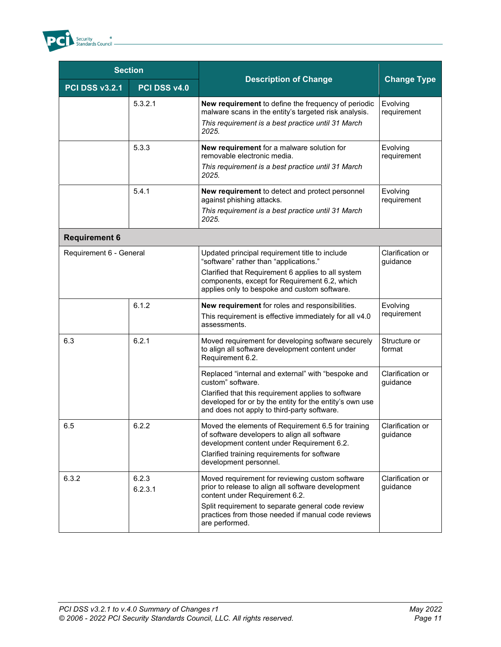

| <b>Section</b>          |                  |                                                                                                                                                               |                              |
|-------------------------|------------------|---------------------------------------------------------------------------------------------------------------------------------------------------------------|------------------------------|
| <b>PCI DSS v3.2.1</b>   | PCI DSS v4.0     | <b>Description of Change</b>                                                                                                                                  | <b>Change Type</b>           |
|                         | 5.3.2.1          | New requirement to define the frequency of periodic<br>malware scans in the entity's targeted risk analysis.                                                  | Evolving<br>requirement      |
|                         |                  | This requirement is a best practice until 31 March<br>2025.                                                                                                   |                              |
|                         | 5.3.3            | New requirement for a malware solution for<br>removable electronic media.                                                                                     | Evolving<br>requirement      |
|                         |                  | This requirement is a best practice until 31 March<br>2025.                                                                                                   |                              |
|                         | 5.4.1            | New requirement to detect and protect personnel<br>against phishing attacks.                                                                                  | Evolving<br>requirement      |
|                         |                  | This requirement is a best practice until 31 March<br>2025.                                                                                                   |                              |
| <b>Requirement 6</b>    |                  |                                                                                                                                                               |                              |
| Requirement 6 - General |                  | Updated principal requirement title to include<br>"software" rather than "applications."                                                                      | Clarification or<br>guidance |
|                         |                  | Clarified that Requirement 6 applies to all system<br>components, except for Requirement 6.2, which<br>applies only to bespoke and custom software.           |                              |
|                         | 6.1.2            | New requirement for roles and responsibilities.                                                                                                               | Evolving                     |
|                         |                  | This requirement is effective immediately for all v4.0<br>assessments.                                                                                        | requirement                  |
| 6.3                     | 6.2.1            | Moved requirement for developing software securely<br>to align all software development content under<br>Requirement 6.2.                                     | Structure or<br>format       |
|                         |                  | Replaced "internal and external" with "bespoke and<br>custom" software.                                                                                       | Clarification or<br>guidance |
|                         |                  | Clarified that this requirement applies to software<br>developed for or by the entity for the entity's own use<br>and does not apply to third-party software. |                              |
| 6.5                     | 6.2.2            | Moved the elements of Requirement 6.5 for training<br>of software developers to align all software<br>development content under Requirement 6.2.              | Clarification or<br>guidance |
|                         |                  | Clarified training requirements for software<br>development personnel.                                                                                        |                              |
| 6.3.2                   | 6.2.3<br>6.2.3.1 | Moved requirement for reviewing custom software<br>prior to release to align all software development<br>content under Requirement 6.2.                       | Clarification or<br>guidance |
|                         |                  | Split requirement to separate general code review<br>practices from those needed if manual code reviews<br>are performed.                                     |                              |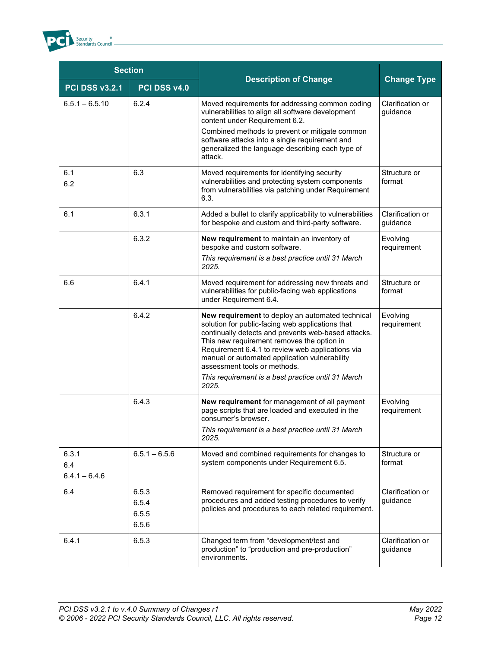

| <b>Section</b>                  |                                  |                                                                                                                                                                                                                                                                                                                                                                                                               |                              |
|---------------------------------|----------------------------------|---------------------------------------------------------------------------------------------------------------------------------------------------------------------------------------------------------------------------------------------------------------------------------------------------------------------------------------------------------------------------------------------------------------|------------------------------|
| <b>PCI DSS v3.2.1</b>           | PCI DSS v4.0                     | <b>Description of Change</b>                                                                                                                                                                                                                                                                                                                                                                                  | <b>Change Type</b>           |
| $6.5.1 - 6.5.10$                | 6.2.4                            | Moved requirements for addressing common coding<br>vulnerabilities to align all software development<br>content under Requirement 6.2.                                                                                                                                                                                                                                                                        | Clarification or<br>guidance |
|                                 |                                  | Combined methods to prevent or mitigate common<br>software attacks into a single requirement and<br>generalized the language describing each type of<br>attack.                                                                                                                                                                                                                                               |                              |
| 6.1<br>6.2                      | 6.3                              | Moved requirements for identifying security<br>vulnerabilities and protecting system components<br>from vulnerabilities via patching under Requirement<br>6.3.                                                                                                                                                                                                                                                | Structure or<br>format       |
| 6.1                             | 6.3.1                            | Added a bullet to clarify applicability to vulnerabilities<br>for bespoke and custom and third-party software.                                                                                                                                                                                                                                                                                                | Clarification or<br>guidance |
|                                 | 6.3.2                            | New requirement to maintain an inventory of<br>bespoke and custom software.<br>This requirement is a best practice until 31 March<br>2025.                                                                                                                                                                                                                                                                    | Evolving<br>requirement      |
| 6.6                             | 6.4.1                            | Moved requirement for addressing new threats and<br>vulnerabilities for public-facing web applications<br>under Requirement 6.4.                                                                                                                                                                                                                                                                              | Structure or<br>format       |
|                                 | 6.4.2                            | New requirement to deploy an automated technical<br>solution for public-facing web applications that<br>continually detects and prevents web-based attacks.<br>This new requirement removes the option in<br>Requirement 6.4.1 to review web applications via<br>manual or automated application vulnerability<br>assessment tools or methods.<br>This requirement is a best practice until 31 March<br>2025. | Evolving<br>requirement      |
|                                 | 6.4.3                            | New requirement for management of all payment<br>page scripts that are loaded and executed in the<br>consumer's browser.<br>This requirement is a best practice until 31 March<br>2025.                                                                                                                                                                                                                       | Evolving<br>requirement      |
| 6.3.1<br>6.4<br>$6.4.1 - 6.4.6$ | $6.5.1 - 6.5.6$                  | Moved and combined requirements for changes to<br>system components under Requirement 6.5.                                                                                                                                                                                                                                                                                                                    | Structure or<br>format       |
| 6.4                             | 6.5.3<br>6.5.4<br>6.5.5<br>6.5.6 | Removed requirement for specific documented<br>procedures and added testing procedures to verify<br>policies and procedures to each related requirement.                                                                                                                                                                                                                                                      | Clarification or<br>guidance |
| 6.4.1                           | 6.5.3                            | Changed term from "development/test and<br>production" to "production and pre-production"<br>environments.                                                                                                                                                                                                                                                                                                    | Clarification or<br>guidance |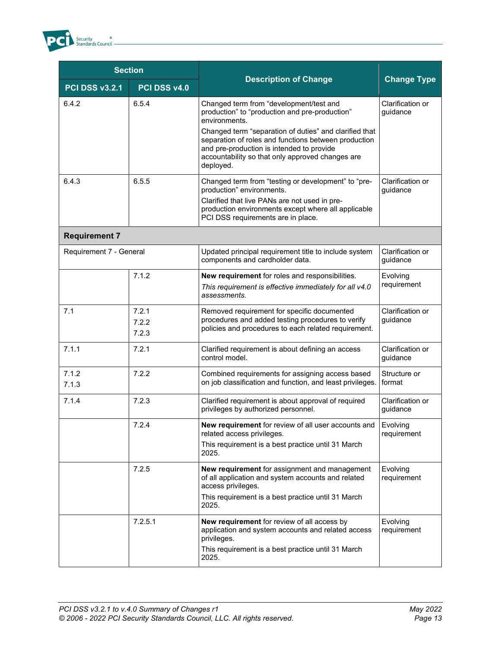

| <b>Section</b>          |                         |                                                                                                                                                                                                                              |                              |
|-------------------------|-------------------------|------------------------------------------------------------------------------------------------------------------------------------------------------------------------------------------------------------------------------|------------------------------|
| <b>PCI DSS v3.2.1</b>   | PCI DSS v4.0            | <b>Description of Change</b>                                                                                                                                                                                                 | <b>Change Type</b>           |
| 6.4.2                   | 6.5.4                   | Changed term from "development/test and<br>production" to "production and pre-production"<br>environments.                                                                                                                   | Clarification or<br>guidance |
|                         |                         | Changed term "separation of duties" and clarified that<br>separation of roles and functions between production<br>and pre-production is intended to provide<br>accountability so that only approved changes are<br>deployed. |                              |
| 6.4.3                   | 6.5.5                   | Changed term from "testing or development" to "pre-<br>production" environments.                                                                                                                                             | Clarification or<br>guidance |
|                         |                         | Clarified that live PANs are not used in pre-<br>production environments except where all applicable<br>PCI DSS requirements are in place.                                                                                   |                              |
| <b>Requirement 7</b>    |                         |                                                                                                                                                                                                                              |                              |
| Requirement 7 - General |                         | Updated principal requirement title to include system<br>components and cardholder data.                                                                                                                                     | Clarification or<br>guidance |
|                         | 7.1.2                   | New requirement for roles and responsibilities.<br>This requirement is effective immediately for all v4.0<br>assessments.                                                                                                    | Evolving<br>requirement      |
| 7.1                     | 7.2.1<br>7.2.2<br>7.2.3 | Removed requirement for specific documented<br>procedures and added testing procedures to verify<br>policies and procedures to each related requirement.                                                                     | Clarification or<br>guidance |
| 7.1.1                   | 7.2.1                   | Clarified requirement is about defining an access<br>control model.                                                                                                                                                          | Clarification or<br>guidance |
| 7.1.2<br>7.1.3          | 7.2.2                   | Combined requirements for assigning access based<br>on job classification and function, and least privileges.                                                                                                                | Structure or<br>format       |
| 7.1.4                   | 7.2.3                   | Clarified requirement is about approval of required<br>privileges by authorized personnel.                                                                                                                                   | Clarification or<br>guidance |
|                         | 7.2.4                   | <b>New requirement</b> for review of all user accounts and<br>related access privileges.<br>This requirement is a best practice until 31 March<br>2025.                                                                      | Evolving<br>requirement      |
|                         | 7.2.5                   | New requirement for assignment and management<br>of all application and system accounts and related<br>access privileges.<br>This requirement is a best practice until 31 March<br>2025.                                     | Evolving<br>requirement      |
|                         | 7.2.5.1                 | New requirement for review of all access by<br>application and system accounts and related access<br>privileges.<br>This requirement is a best practice until 31 March<br>2025.                                              | Evolving<br>requirement      |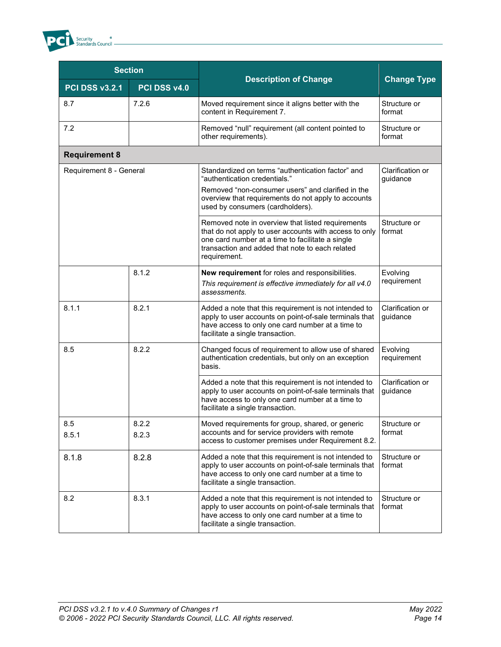

| <b>Section</b>          |                |                                                                                                                                                                                                                                    |                              |
|-------------------------|----------------|------------------------------------------------------------------------------------------------------------------------------------------------------------------------------------------------------------------------------------|------------------------------|
| <b>PCI DSS v3.2.1</b>   | PCI DSS v4.0   | <b>Description of Change</b>                                                                                                                                                                                                       | <b>Change Type</b>           |
| 8.7                     | 7.2.6          | Moved requirement since it aligns better with the<br>content in Requirement 7.                                                                                                                                                     | Structure or<br>format       |
| 7.2                     |                | Removed "null" requirement (all content pointed to<br>other requirements).                                                                                                                                                         | Structure or<br>format       |
| <b>Requirement 8</b>    |                |                                                                                                                                                                                                                                    |                              |
| Requirement 8 - General |                | Standardized on terms "authentication factor" and<br>"authentication credentials."<br>Removed "non-consumer users" and clarified in the<br>overview that requirements do not apply to accounts                                     | Clarification or<br>guidance |
|                         |                | used by consumers (cardholders).                                                                                                                                                                                                   |                              |
|                         |                | Removed note in overview that listed requirements<br>that do not apply to user accounts with access to only<br>one card number at a time to facilitate a single<br>transaction and added that note to each related<br>requirement. | Structure or<br>format       |
|                         | 8.1.2          | New requirement for roles and responsibilities.<br>This requirement is effective immediately for all v4.0<br>assessments.                                                                                                          | Evolving<br>requirement      |
| 8.1.1                   | 8.2.1          | Added a note that this requirement is not intended to<br>apply to user accounts on point-of-sale terminals that<br>have access to only one card number at a time to<br>facilitate a single transaction.                            | Clarification or<br>guidance |
| 8.5                     | 8.2.2          | Changed focus of requirement to allow use of shared<br>authentication credentials, but only on an exception<br>basis.                                                                                                              | Evolving<br>requirement      |
|                         |                | Added a note that this requirement is not intended to<br>apply to user accounts on point-of-sale terminals that<br>have access to only one card number at a time to<br>facilitate a single transaction.                            | Clarification or<br>guidance |
| 8.5<br>8.5.1            | 8.2.2<br>8.2.3 | Moved requirements for group, shared, or generic<br>accounts and for service providers with remote<br>access to customer premises under Requirement 8.2.                                                                           | Structure or<br>format       |
| 8.1.8                   | 8.2.8          | Added a note that this requirement is not intended to<br>apply to user accounts on point-of-sale terminals that<br>have access to only one card number at a time to<br>facilitate a single transaction.                            | Structure or<br>format       |
| 8.2                     | 8.3.1          | Added a note that this requirement is not intended to<br>apply to user accounts on point-of-sale terminals that<br>have access to only one card number at a time to<br>facilitate a single transaction.                            | Structure or<br>format       |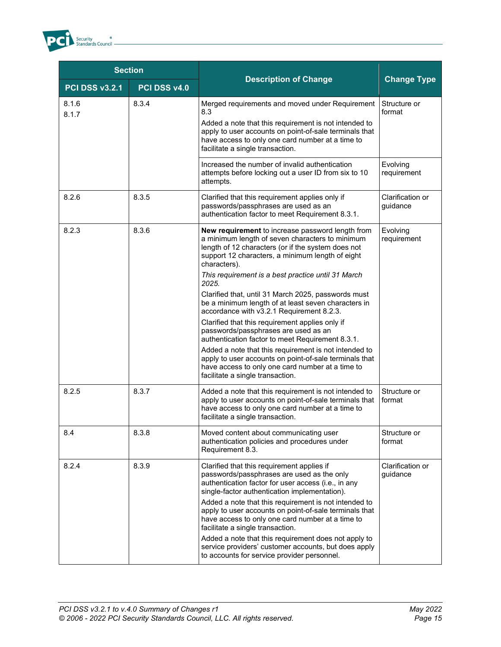

| <b>Section</b>        |              |                                                                                                                                                                                                                                                                                              |                              |
|-----------------------|--------------|----------------------------------------------------------------------------------------------------------------------------------------------------------------------------------------------------------------------------------------------------------------------------------------------|------------------------------|
| <b>PCI DSS v3.2.1</b> | PCI DSS v4.0 | <b>Description of Change</b>                                                                                                                                                                                                                                                                 | <b>Change Type</b>           |
| 8.1.6<br>8.1.7        | 8.3.4        | Merged requirements and moved under Requirement<br>8.3                                                                                                                                                                                                                                       | Structure or<br>format       |
|                       |              | Added a note that this requirement is not intended to<br>apply to user accounts on point-of-sale terminals that<br>have access to only one card number at a time to<br>facilitate a single transaction.                                                                                      |                              |
|                       |              | Increased the number of invalid authentication<br>attempts before locking out a user ID from six to 10<br>attempts.                                                                                                                                                                          | Evolving<br>requirement      |
| 8.2.6                 | 8.3.5        | Clarified that this requirement applies only if<br>passwords/passphrases are used as an<br>authentication factor to meet Requirement 8.3.1.                                                                                                                                                  | Clarification or<br>quidance |
| 8.2.3                 | 8.3.6        | New requirement to increase password length from<br>a minimum length of seven characters to minimum<br>length of 12 characters (or if the system does not<br>support 12 characters, a minimum length of eight<br>characters).<br>This requirement is a best practice until 31 March<br>2025. | Evolving<br>requirement      |
|                       |              | Clarified that, until 31 March 2025, passwords must<br>be a minimum length of at least seven characters in<br>accordance with v3.2.1 Requirement 8.2.3.                                                                                                                                      |                              |
|                       |              | Clarified that this requirement applies only if<br>passwords/passphrases are used as an<br>authentication factor to meet Requirement 8.3.1.                                                                                                                                                  |                              |
|                       |              | Added a note that this requirement is not intended to<br>apply to user accounts on point-of-sale terminals that<br>have access to only one card number at a time to<br>facilitate a single transaction.                                                                                      |                              |
| 8.2.5                 | 8.3.7        | Added a note that this requirement is not intended to<br>apply to user accounts on point-of-sale terminals that<br>have access to only one card number at a time to<br>facilitate a single transaction.                                                                                      | Structure or<br>format       |
| 8.4                   | 8.3.8        | Moved content about communicating user<br>authentication policies and procedures under<br>Requirement 8.3.                                                                                                                                                                                   | Structure or<br>format       |
| 8.2.4                 | 8.3.9        | Clarified that this requirement applies if<br>passwords/passphrases are used as the only<br>authentication factor for user access (i.e., in any<br>single-factor authentication implementation).                                                                                             | Clarification or<br>guidance |
|                       |              | Added a note that this requirement is not intended to<br>apply to user accounts on point-of-sale terminals that<br>have access to only one card number at a time to<br>facilitate a single transaction.                                                                                      |                              |
|                       |              | Added a note that this requirement does not apply to<br>service providers' customer accounts, but does apply<br>to accounts for service provider personnel.                                                                                                                                  |                              |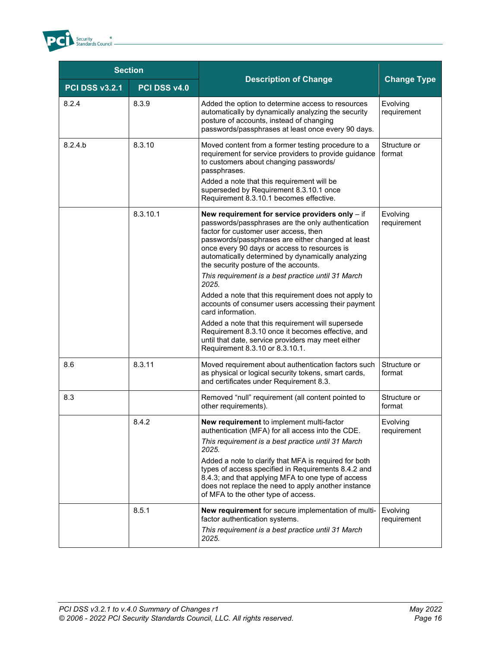

| <b>Section</b>        |              |                                                                                                                                                                                                                                                                                                                                                                                                                                                                                                                                                                                                                                                                                                                                                       |                         |
|-----------------------|--------------|-------------------------------------------------------------------------------------------------------------------------------------------------------------------------------------------------------------------------------------------------------------------------------------------------------------------------------------------------------------------------------------------------------------------------------------------------------------------------------------------------------------------------------------------------------------------------------------------------------------------------------------------------------------------------------------------------------------------------------------------------------|-------------------------|
| <b>PCI DSS v3.2.1</b> | PCI DSS v4.0 | <b>Description of Change</b>                                                                                                                                                                                                                                                                                                                                                                                                                                                                                                                                                                                                                                                                                                                          | <b>Change Type</b>      |
| 8.2.4                 | 8.3.9        | Added the option to determine access to resources<br>automatically by dynamically analyzing the security<br>posture of accounts, instead of changing<br>passwords/passphrases at least once every 90 days.                                                                                                                                                                                                                                                                                                                                                                                                                                                                                                                                            | Evolving<br>requirement |
| 8.2.4.b               | 8.3.10       | Moved content from a former testing procedure to a<br>requirement for service providers to provide guidance<br>to customers about changing passwords/<br>passphrases.<br>Added a note that this requirement will be<br>superseded by Requirement 8.3.10.1 once<br>Requirement 8.3.10.1 becomes effective.                                                                                                                                                                                                                                                                                                                                                                                                                                             | Structure or<br>format  |
|                       | 8.3.10.1     | New requirement for service providers only - if<br>passwords/passphrases are the only authentication<br>factor for customer user access, then<br>passwords/passphrases are either changed at least<br>once every 90 days or access to resources is<br>automatically determined by dynamically analyzing<br>the security posture of the accounts.<br>This requirement is a best practice until 31 March<br>2025.<br>Added a note that this requirement does not apply to<br>accounts of consumer users accessing their payment<br>card information.<br>Added a note that this requirement will supersede<br>Requirement 8.3.10 once it becomes effective, and<br>until that date, service providers may meet either<br>Requirement 8.3.10 or 8.3.10.1. | Evolving<br>requirement |
| 8.6                   | 8.3.11       | Moved requirement about authentication factors such<br>as physical or logical security tokens, smart cards,<br>and certificates under Requirement 8.3.                                                                                                                                                                                                                                                                                                                                                                                                                                                                                                                                                                                                | Structure or<br>format  |
| 8.3                   |              | Removed "null" requirement (all content pointed to<br>other requirements).                                                                                                                                                                                                                                                                                                                                                                                                                                                                                                                                                                                                                                                                            | Structure or<br>format  |
|                       | 8.4.2        | New requirement to implement multi-factor<br>authentication (MFA) for all access into the CDE.<br>This requirement is a best practice until 31 March<br>2025.<br>Added a note to clarify that MFA is required for both<br>types of access specified in Requirements 8.4.2 and<br>8.4.3; and that applying MFA to one type of access<br>does not replace the need to apply another instance<br>of MFA to the other type of access.                                                                                                                                                                                                                                                                                                                     | Evolving<br>requirement |
|                       | 8.5.1        | New requirement for secure implementation of multi-<br>factor authentication systems.<br>This requirement is a best practice until 31 March<br>2025.                                                                                                                                                                                                                                                                                                                                                                                                                                                                                                                                                                                                  | Evolving<br>requirement |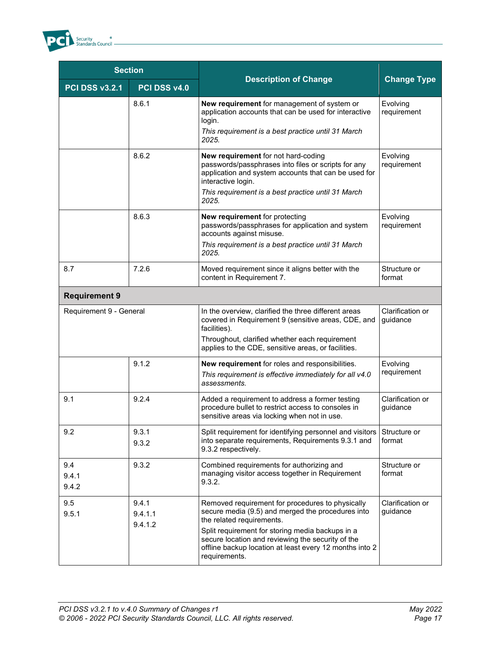

| <b>Section</b>          |                             |                                                                                                                                                                                                                                                                                                                         |                              |
|-------------------------|-----------------------------|-------------------------------------------------------------------------------------------------------------------------------------------------------------------------------------------------------------------------------------------------------------------------------------------------------------------------|------------------------------|
| <b>PCI DSS v3.2.1</b>   | PCI DSS v4.0                | <b>Description of Change</b>                                                                                                                                                                                                                                                                                            | <b>Change Type</b>           |
|                         | 8.6.1                       | New requirement for management of system or<br>application accounts that can be used for interactive<br>login.<br>This requirement is a best practice until 31 March<br>2025.                                                                                                                                           | Evolving<br>requirement      |
|                         | 8.6.2                       | New requirement for not hard-coding<br>passwords/passphrases into files or scripts for any<br>application and system accounts that can be used for<br>interactive login.<br>This requirement is a best practice until 31 March<br>2025.                                                                                 | Evolving<br>requirement      |
|                         | 8.6.3                       | New requirement for protecting<br>passwords/passphrases for application and system<br>accounts against misuse.<br>This requirement is a best practice until 31 March<br>2025.                                                                                                                                           | Evolving<br>requirement      |
| 8.7                     | 7.2.6                       | Moved requirement since it aligns better with the<br>content in Requirement 7.                                                                                                                                                                                                                                          | Structure or<br>format       |
| <b>Requirement 9</b>    |                             |                                                                                                                                                                                                                                                                                                                         |                              |
| Requirement 9 - General |                             | In the overview, clarified the three different areas<br>covered in Requirement 9 (sensitive areas, CDE, and<br>facilities).<br>Throughout, clarified whether each requirement<br>applies to the CDE, sensitive areas, or facilities.                                                                                    | Clarification or<br>guidance |
|                         | 9.1.2                       | New requirement for roles and responsibilities.<br>This requirement is effective immediately for all v4.0<br>assessments.                                                                                                                                                                                               | Evolving<br>requirement      |
| 9.1                     | 9.2.4                       | Added a requirement to address a former testing<br>procedure bullet to restrict access to consoles in<br>sensitive areas via locking when not in use.                                                                                                                                                                   | Clarification or<br>guidance |
| 9.2                     | 9.3.1<br>9.3.2              | Split requirement for identifying personnel and visitors<br>into separate requirements, Requirements 9.3.1 and<br>9.3.2 respectively.                                                                                                                                                                                   | Structure or<br>format       |
| 9.4<br>9.4.1<br>9.4.2   | 9.3.2                       | Combined requirements for authorizing and<br>managing visitor access together in Requirement<br>9.3.2.                                                                                                                                                                                                                  | Structure or<br>format       |
| 9.5<br>9.5.1            | 9.4.1<br>9.4.1.1<br>9.4.1.2 | Removed requirement for procedures to physically<br>secure media (9.5) and merged the procedures into<br>the related requirements.<br>Split requirement for storing media backups in a<br>secure location and reviewing the security of the<br>offline backup location at least every 12 months into 2<br>requirements. | Clarification or<br>guidance |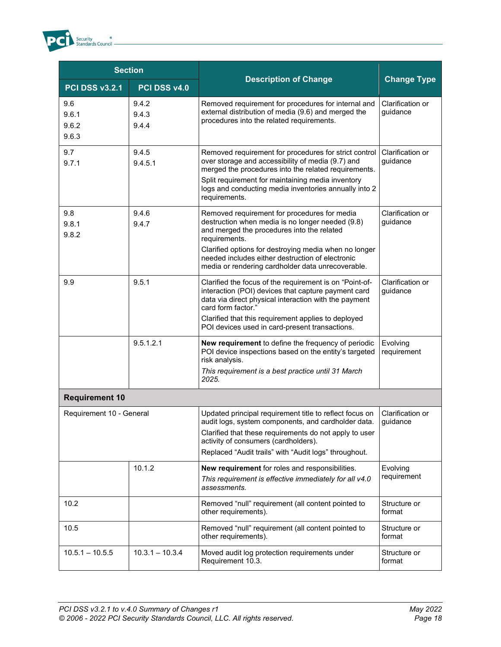| <b>Section</b>                 |                         |                                                                                                                                                                                                                                                                                                                                   |                              |
|--------------------------------|-------------------------|-----------------------------------------------------------------------------------------------------------------------------------------------------------------------------------------------------------------------------------------------------------------------------------------------------------------------------------|------------------------------|
| <b>PCI DSS v3.2.1</b>          | PCI DSS v4.0            | <b>Description of Change</b>                                                                                                                                                                                                                                                                                                      | <b>Change Type</b>           |
| 9.6<br>9.6.1<br>9.6.2<br>9.6.3 | 9.4.2<br>9.4.3<br>9.4.4 | Removed requirement for procedures for internal and<br>external distribution of media (9.6) and merged the<br>procedures into the related requirements.                                                                                                                                                                           | Clarification or<br>guidance |
| 9.7<br>9.7.1                   | 9.4.5<br>9.4.5.1        | Removed requirement for procedures for strict control<br>over storage and accessibility of media (9.7) and<br>merged the procedures into the related requirements.<br>Split requirement for maintaining media inventory<br>logs and conducting media inventories annually into 2<br>requirements.                                 | Clarification or<br>guidance |
| 9.8<br>9.8.1<br>9.8.2          | 9.4.6<br>9.4.7          | Removed requirement for procedures for media<br>destruction when media is no longer needed (9.8)<br>and merged the procedures into the related<br>requirements.<br>Clarified options for destroying media when no longer<br>needed includes either destruction of electronic<br>media or rendering cardholder data unrecoverable. | Clarification or<br>guidance |
| 9.9                            | 9.5.1                   | Clarified the focus of the requirement is on "Point-of-<br>interaction (POI) devices that capture payment card<br>data via direct physical interaction with the payment<br>card form factor."<br>Clarified that this requirement applies to deployed<br>POI devices used in card-present transactions.                            | Clarification or<br>guidance |
|                                | 9.5.1.2.1               | New requirement to define the frequency of periodic<br>POI device inspections based on the entity's targeted<br>risk analysis.<br>This requirement is a best practice until 31 March<br>2025.                                                                                                                                     | Evolving<br>requirement      |
| <b>Requirement 10</b>          |                         |                                                                                                                                                                                                                                                                                                                                   |                              |
| Requirement 10 - General       |                         | Updated principal requirement title to reflect focus on<br>audit logs, system components, and cardholder data.<br>Clarified that these requirements do not apply to user<br>activity of consumers (cardholders).<br>Replaced "Audit trails" with "Audit logs" throughout.                                                         | Clarification or<br>guidance |
|                                | 10.1.2                  | New requirement for roles and responsibilities.<br>This requirement is effective immediately for all v4.0<br>assessments.                                                                                                                                                                                                         | Evolving<br>requirement      |
| 10.2                           |                         | Removed "null" requirement (all content pointed to<br>other requirements).                                                                                                                                                                                                                                                        | Structure or<br>format       |
| 10.5                           |                         | Removed "null" requirement (all content pointed to<br>other requirements).                                                                                                                                                                                                                                                        | Structure or<br>format       |
| $10.5.1 - 10.5.5$              | $10.3.1 - 10.3.4$       | Moved audit log protection requirements under<br>Requirement 10.3.                                                                                                                                                                                                                                                                | Structure or<br>format       |

<sup>8</sup><br>Standards Council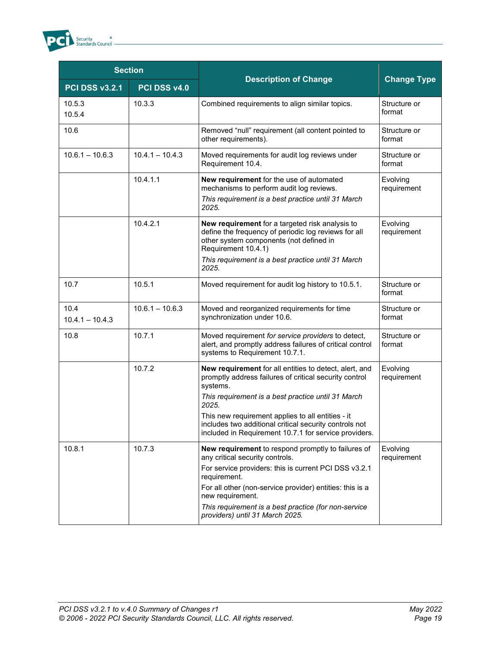

| <b>Section</b>            |                   |                                                                                                                                                                                                                                                                                                                                                                     |                         |
|---------------------------|-------------------|---------------------------------------------------------------------------------------------------------------------------------------------------------------------------------------------------------------------------------------------------------------------------------------------------------------------------------------------------------------------|-------------------------|
| <b>PCI DSS v3.2.1</b>     | PCI DSS v4.0      | <b>Description of Change</b>                                                                                                                                                                                                                                                                                                                                        | <b>Change Type</b>      |
| 10.5.3<br>10.5.4          | 10.3.3            | Combined requirements to align similar topics.                                                                                                                                                                                                                                                                                                                      | Structure or<br>format  |
| 10.6                      |                   | Removed "null" requirement (all content pointed to<br>other requirements).                                                                                                                                                                                                                                                                                          | Structure or<br>format  |
| $10.6.1 - 10.6.3$         | $10.4.1 - 10.4.3$ | Moved requirements for audit log reviews under<br>Requirement 10.4.                                                                                                                                                                                                                                                                                                 | Structure or<br>format  |
|                           | 10.4.1.1          | New requirement for the use of automated<br>mechanisms to perform audit log reviews.<br>This requirement is a best practice until 31 March<br>2025.                                                                                                                                                                                                                 | Evolving<br>requirement |
|                           | 10.4.2.1          | New requirement for a targeted risk analysis to<br>define the frequency of periodic log reviews for all<br>other system components (not defined in<br>Requirement 10.4.1)<br>This requirement is a best practice until 31 March<br>2025.                                                                                                                            | Evolving<br>requirement |
| 10.7                      | 10.5.1            | Moved requirement for audit log history to 10.5.1.                                                                                                                                                                                                                                                                                                                  | Structure or<br>format  |
| 10.4<br>$10.4.1 - 10.4.3$ | $10.6.1 - 10.6.3$ | Moved and reorganized requirements for time<br>synchronization under 10.6.                                                                                                                                                                                                                                                                                          | Structure or<br>format  |
| 10.8                      | 10.7.1            | Moved requirement for service providers to detect,<br>alert, and promptly address failures of critical control<br>systems to Requirement 10.7.1.                                                                                                                                                                                                                    | Structure or<br>format  |
|                           | 10.7.2            | New requirement for all entities to detect, alert, and<br>promptly address failures of critical security control<br>systems.<br>This requirement is a best practice until 31 March<br>2025.<br>This new requirement applies to all entities - it<br>includes two additional critical security controls not<br>included in Requirement 10.7.1 for service providers. | Evolving<br>requirement |
| 10.8.1                    | 10.7.3            | New requirement to respond promptly to failures of<br>any critical security controls.<br>For service providers: this is current PCI DSS v3.2.1<br>requirement.<br>For all other (non-service provider) entities: this is a<br>new requirement.<br>This requirement is a best practice (for non-service<br>providers) until 31 March 2025.                           | Evolving<br>requirement |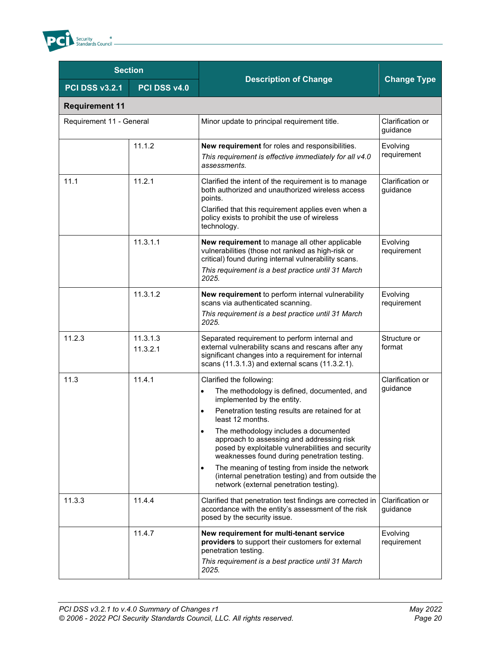

| <b>Section</b>           |                      |                                                                                                                                                                                                                                                                                                                                                                                                                                                                                                                                                       |                              |
|--------------------------|----------------------|-------------------------------------------------------------------------------------------------------------------------------------------------------------------------------------------------------------------------------------------------------------------------------------------------------------------------------------------------------------------------------------------------------------------------------------------------------------------------------------------------------------------------------------------------------|------------------------------|
| <b>PCI DSS v3.2.1</b>    | PCI DSS v4.0         | <b>Description of Change</b>                                                                                                                                                                                                                                                                                                                                                                                                                                                                                                                          | <b>Change Type</b>           |
| <b>Requirement 11</b>    |                      |                                                                                                                                                                                                                                                                                                                                                                                                                                                                                                                                                       |                              |
| Requirement 11 - General |                      | Minor update to principal requirement title.                                                                                                                                                                                                                                                                                                                                                                                                                                                                                                          | Clarification or<br>guidance |
|                          | 11.1.2               | New requirement for roles and responsibilities.<br>This requirement is effective immediately for all v4.0<br>assessments.                                                                                                                                                                                                                                                                                                                                                                                                                             | Evolving<br>requirement      |
| 11.1                     | 11.2.1               | Clarified the intent of the requirement is to manage<br>both authorized and unauthorized wireless access<br>points.<br>Clarified that this requirement applies even when a<br>policy exists to prohibit the use of wireless<br>technology.                                                                                                                                                                                                                                                                                                            | Clarification or<br>guidance |
|                          | 11.3.1.1             | New requirement to manage all other applicable<br>vulnerabilities (those not ranked as high-risk or<br>critical) found during internal vulnerability scans.<br>This requirement is a best practice until 31 March<br>2025.                                                                                                                                                                                                                                                                                                                            | Evolving<br>requirement      |
|                          | 11.3.1.2             | New requirement to perform internal vulnerability<br>scans via authenticated scanning.<br>This requirement is a best practice until 31 March<br>2025.                                                                                                                                                                                                                                                                                                                                                                                                 | Evolving<br>requirement      |
| 11.2.3                   | 11.3.1.3<br>11.3.2.1 | Separated requirement to perform internal and<br>external vulnerability scans and rescans after any<br>significant changes into a requirement for internal<br>scans (11.3.1.3) and external scans (11.3.2.1).                                                                                                                                                                                                                                                                                                                                         | Structure or<br>format       |
| 11.3                     | 11.4.1               | Clarified the following:<br>The methodology is defined, documented, and<br>$\bullet$<br>implemented by the entity.<br>Penetration testing results are retained for at<br>least 12 months.<br>The methodology includes a documented<br>approach to assessing and addressing risk<br>posed by exploitable vulnerabilities and security<br>weaknesses found during penetration testing.<br>The meaning of testing from inside the network<br>$\bullet$<br>(internal penetration testing) and from outside the<br>network (external penetration testing). | Clarification or<br>guidance |
| 11.3.3                   | 11.4.4               | Clarified that penetration test findings are corrected in<br>accordance with the entity's assessment of the risk<br>posed by the security issue.                                                                                                                                                                                                                                                                                                                                                                                                      | Clarification or<br>guidance |
|                          | 11.4.7               | New requirement for multi-tenant service<br>providers to support their customers for external<br>penetration testing.<br>This requirement is a best practice until 31 March<br>2025.                                                                                                                                                                                                                                                                                                                                                                  | Evolving<br>requirement      |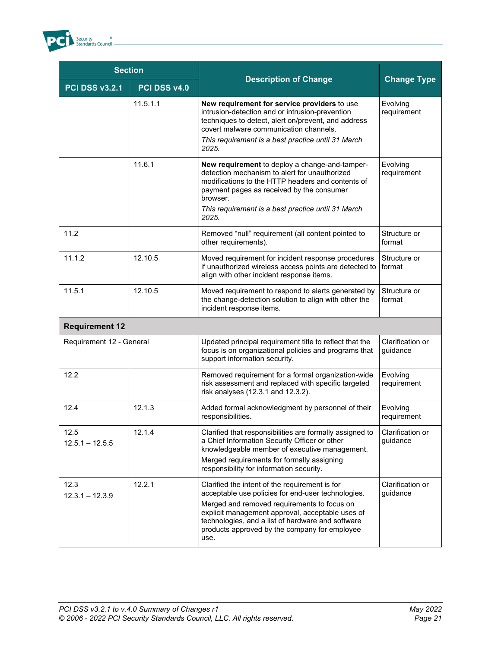

| <b>Section</b>            |              |                                                                                                                                                                                                                                                                                                                       |                              |
|---------------------------|--------------|-----------------------------------------------------------------------------------------------------------------------------------------------------------------------------------------------------------------------------------------------------------------------------------------------------------------------|------------------------------|
| <b>PCI DSS v3.2.1</b>     | PCI DSS v4.0 | <b>Description of Change</b>                                                                                                                                                                                                                                                                                          | <b>Change Type</b>           |
|                           | 11.5.1.1     | New requirement for service providers to use<br>intrusion-detection and or intrusion-prevention<br>techniques to detect, alert on/prevent, and address<br>covert malware communication channels.<br>This requirement is a best practice until 31 March<br>2025.                                                       | Evolving<br>requirement      |
|                           | 11.6.1       | New requirement to deploy a change-and-tamper-<br>detection mechanism to alert for unauthorized<br>modifications to the HTTP headers and contents of<br>payment pages as received by the consumer<br>browser.<br>This requirement is a best practice until 31 March<br>2025.                                          | Evolving<br>requirement      |
| 11.2                      |              | Removed "null" requirement (all content pointed to<br>other requirements).                                                                                                                                                                                                                                            | Structure or<br>format       |
| 11.1.2                    | 12.10.5      | Moved requirement for incident response procedures<br>if unauthorized wireless access points are detected to<br>align with other incident response items.                                                                                                                                                             | Structure or<br>format       |
| 11.5.1                    | 12.10.5      | Moved requirement to respond to alerts generated by<br>the change-detection solution to align with other the<br>incident response items.                                                                                                                                                                              | Structure or<br>format       |
| <b>Requirement 12</b>     |              |                                                                                                                                                                                                                                                                                                                       |                              |
| Requirement 12 - General  |              | Updated principal requirement title to reflect that the<br>focus is on organizational policies and programs that<br>support information security.                                                                                                                                                                     | Clarification or<br>guidance |
| 12.2                      |              | Removed requirement for a formal organization-wide<br>risk assessment and replaced with specific targeted<br>risk analyses (12.3.1 and 12.3.2).                                                                                                                                                                       | Evolving<br>requirement      |
| 12.4                      | 12.1.3       | Added formal acknowledgment by personnel of their<br>responsibilities.                                                                                                                                                                                                                                                | Evolving<br>requirement      |
| 12.5<br>$12.5.1 - 12.5.5$ | 12.1.4       | Clarified that responsibilities are formally assigned to<br>a Chief Information Security Officer or other<br>knowledgeable member of executive management.<br>Merged requirements for formally assigning<br>responsibility for information security.                                                                  | Clarification or<br>guidance |
| 12.3<br>$12.3.1 - 12.3.9$ | 12.2.1       | Clarified the intent of the requirement is for<br>acceptable use policies for end-user technologies.<br>Merged and removed requirements to focus on<br>explicit management approval, acceptable uses of<br>technologies, and a list of hardware and software<br>products approved by the company for employee<br>use. | Clarification or<br>guidance |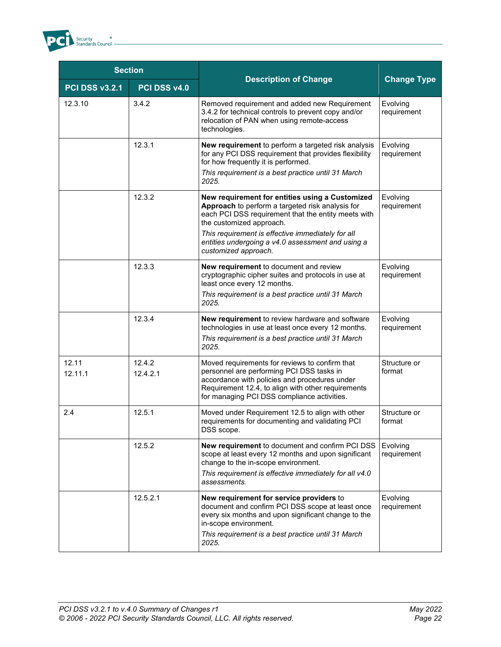

| <b>Section</b>        |                    |                                                                                                                                                                                                                                                                                                                          |                         |
|-----------------------|--------------------|--------------------------------------------------------------------------------------------------------------------------------------------------------------------------------------------------------------------------------------------------------------------------------------------------------------------------|-------------------------|
| <b>PCI DSS v3.2.1</b> | PCI DSS v4.0       | <b>Description of Change</b>                                                                                                                                                                                                                                                                                             | <b>Change Type</b>      |
| 12.3.10               | 3.4.2              | Removed requirement and added new Requirement<br>3.4.2 for technical controls to prevent copy and/or<br>relocation of PAN when using remote-access<br>technologies.                                                                                                                                                      | Evolving<br>requirement |
|                       | 12.3.1             | New requirement to perform a targeted risk analysis<br>for any PCI DSS requirement that provides flexibility<br>for how frequently it is performed.<br>This requirement is a best practice until 31 March<br>2025.                                                                                                       | Evolving<br>requirement |
|                       | 12.3.2             | New requirement for entities using a Customized<br>Approach to perform a targeted risk analysis for<br>each PCI DSS requirement that the entity meets with<br>the customized approach.<br>This requirement is effective immediately for all<br>entities undergoing a v4.0 assessment and using a<br>customized approach. | Evolving<br>requirement |
|                       | 12.3.3             | New requirement to document and review<br>cryptographic cipher suites and protocols in use at<br>least once every 12 months.<br>This requirement is a best practice until 31 March<br>2025.                                                                                                                              | Evolving<br>requirement |
|                       | 12.3.4             | New requirement to review hardware and software<br>technologies in use at least once every 12 months.<br>This requirement is a best practice until 31 March<br>2025.                                                                                                                                                     | Evolving<br>requirement |
| 12.11<br>12.11.1      | 12.4.2<br>12.4.2.1 | Moved requirements for reviews to confirm that<br>personnel are performing PCI DSS tasks in<br>accordance with policies and procedures under<br>Requirement 12.4, to align with other requirements<br>for managing PCI DSS compliance activities.                                                                        | Structure or<br>format  |
| 2.4                   | 12.5.1             | Moved under Requirement 12.5 to align with other<br>requirements for documenting and validating PCI<br>DSS scope.                                                                                                                                                                                                        | Structure or<br>format  |
|                       | 12.5.2             | <b>New requirement</b> to document and confirm PCI DSS<br>scope at least every 12 months and upon significant<br>change to the in-scope environment.<br>This requirement is effective immediately for all v4.0<br>assessments.                                                                                           | Evolving<br>requirement |
|                       | 12.5.2.1           | New requirement for service providers to<br>document and confirm PCI DSS scope at least once<br>every six months and upon significant change to the<br>in-scope environment.<br>This requirement is a best practice until 31 March<br>2025.                                                                              | Evolving<br>requirement |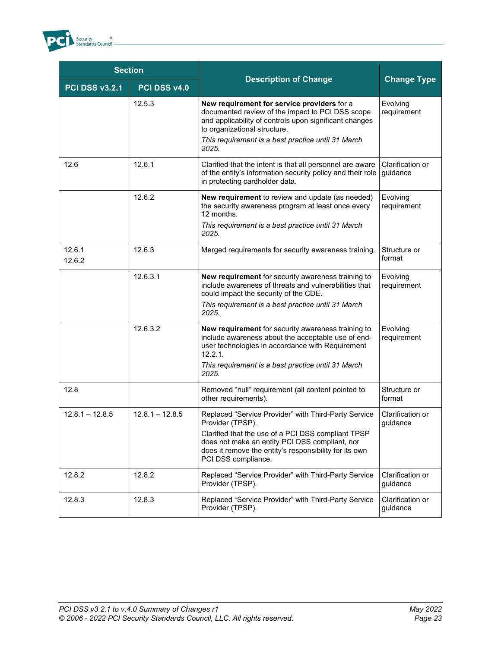

| <b>Section</b>        |                   |                                                                                                                                                                                                                                                                   |                              |  |
|-----------------------|-------------------|-------------------------------------------------------------------------------------------------------------------------------------------------------------------------------------------------------------------------------------------------------------------|------------------------------|--|
| <b>PCI DSS v3.2.1</b> | PCI DSS v4.0      | <b>Description of Change</b>                                                                                                                                                                                                                                      | <b>Change Type</b>           |  |
|                       | 12.5.3            | New requirement for service providers for a<br>documented review of the impact to PCI DSS scope<br>and applicability of controls upon significant changes<br>to organizational structure.<br>This requirement is a best practice until 31 March<br>2025.          | Evolving<br>requirement      |  |
| 12.6                  | 12.6.1            | Clarified that the intent is that all personnel are aware<br>of the entity's information security policy and their role<br>in protecting cardholder data.                                                                                                         | Clarification or<br>guidance |  |
|                       | 12.6.2            | New requirement to review and update (as needed)<br>the security awareness program at least once every<br>12 months.<br>This requirement is a best practice until 31 March<br>2025.                                                                               | Evolving<br>requirement      |  |
| 12.6.1<br>12.6.2      | 12.6.3            | Merged requirements for security awareness training.                                                                                                                                                                                                              | Structure or<br>format       |  |
|                       | 12.6.3.1          | New requirement for security awareness training to<br>include awareness of threats and vulnerabilities that<br>could impact the security of the CDE.<br>This requirement is a best practice until 31 March<br>2025.                                               | Evolving<br>requirement      |  |
|                       | 12.6.3.2          | New requirement for security awareness training to<br>include awareness about the acceptable use of end-<br>user technologies in accordance with Requirement<br>12.2.1.<br>This requirement is a best practice until 31 March<br>2025.                            | Evolving<br>requirement      |  |
| 12.8                  |                   | Removed "null" requirement (all content pointed to<br>other requirements).                                                                                                                                                                                        | Structure or<br>format       |  |
| $12.8.1 - 12.8.5$     | $12.8.1 - 12.8.5$ | Replaced "Service Provider" with Third-Party Service<br>Provider (TPSP).<br>Clarified that the use of a PCI DSS compliant TPSP<br>does not make an entity PCI DSS compliant, nor<br>does it remove the entity's responsibility for its own<br>PCI DSS compliance. | Clarification or<br>guidance |  |
| 12.8.2                | 12.8.2            | Replaced "Service Provider" with Third-Party Service<br>Provider (TPSP).                                                                                                                                                                                          | Clarification or<br>guidance |  |
| 12.8.3                | 12.8.3            | Replaced "Service Provider" with Third-Party Service<br>Clarification or<br>Provider (TPSP).<br>guidance                                                                                                                                                          |                              |  |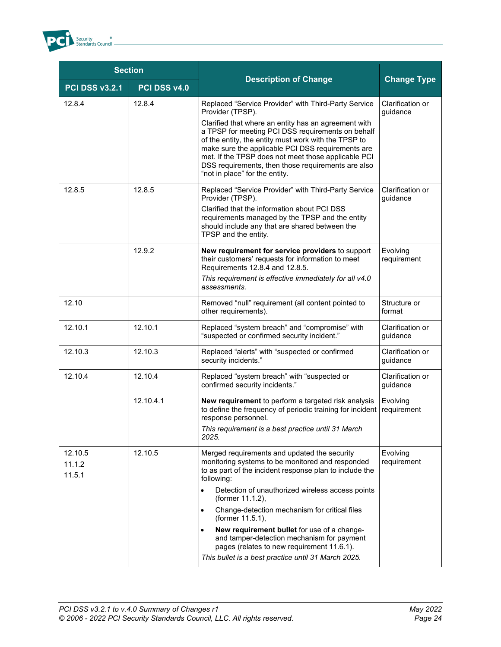

| <b>Section</b>              |              |                                                                                                                                                                                                                                                                                                                                                                                                                                                                                                                          |                              |  |
|-----------------------------|--------------|--------------------------------------------------------------------------------------------------------------------------------------------------------------------------------------------------------------------------------------------------------------------------------------------------------------------------------------------------------------------------------------------------------------------------------------------------------------------------------------------------------------------------|------------------------------|--|
| <b>PCI DSS v3.2.1</b>       | PCI DSS v4.0 | <b>Description of Change</b>                                                                                                                                                                                                                                                                                                                                                                                                                                                                                             | <b>Change Type</b>           |  |
| 12.8.4                      | 12.8.4       | Replaced "Service Provider" with Third-Party Service<br>Provider (TPSP).<br>Clarified that where an entity has an agreement with<br>a TPSP for meeting PCI DSS requirements on behalf<br>of the entity, the entity must work with the TPSP to<br>make sure the applicable PCI DSS requirements are<br>met. If the TPSP does not meet those applicable PCI<br>DSS requirements, then those requirements are also<br>"not in place" for the entity.                                                                        | Clarification or<br>guidance |  |
| 12.8.5                      | 12.8.5       | Replaced "Service Provider" with Third-Party Service<br>Provider (TPSP).<br>Clarified that the information about PCI DSS<br>requirements managed by the TPSP and the entity<br>should include any that are shared between the<br>TPSP and the entity.                                                                                                                                                                                                                                                                    | Clarification or<br>guidance |  |
|                             | 12.9.2       | New requirement for service providers to support<br>their customers' requests for information to meet<br>Requirements 12.8.4 and 12.8.5.<br>This requirement is effective immediately for all v4.0<br>assessments.                                                                                                                                                                                                                                                                                                       | Evolving<br>requirement      |  |
| 12.10                       |              | Removed "null" requirement (all content pointed to<br>other requirements).                                                                                                                                                                                                                                                                                                                                                                                                                                               | Structure or<br>format       |  |
| 12.10.1                     | 12.10.1      | Replaced "system breach" and "compromise" with<br>"suspected or confirmed security incident."                                                                                                                                                                                                                                                                                                                                                                                                                            | Clarification or<br>guidance |  |
| 12.10.3                     | 12.10.3      | Replaced "alerts" with "suspected or confirmed<br>security incidents."                                                                                                                                                                                                                                                                                                                                                                                                                                                   | Clarification or<br>guidance |  |
| 12.10.4                     | 12.10.4      | Replaced "system breach" with "suspected or<br>confirmed security incidents."                                                                                                                                                                                                                                                                                                                                                                                                                                            | Clarification or<br>guidance |  |
|                             | 12.10.4.1    | New requirement to perform a targeted risk analysis<br>to define the frequency of periodic training for incident<br>response personnel.<br>This requirement is a best practice until 31 March<br>2025.                                                                                                                                                                                                                                                                                                                   | Evolving<br>requirement      |  |
| 12.10.5<br>11.1.2<br>11.5.1 | 12.10.5      | Merged requirements and updated the security<br>monitoring systems to be monitored and responded<br>to as part of the incident response plan to include the<br>following:<br>Detection of unauthorized wireless access points<br>(former 11.1.2),<br>Change-detection mechanism for critical files<br>(former 11.5.1),<br>New requirement bullet for use of a change-<br>and tamper-detection mechanism for payment<br>pages (relates to new requirement 11.6.1).<br>This bullet is a best practice until 31 March 2025. | Evolving<br>requirement      |  |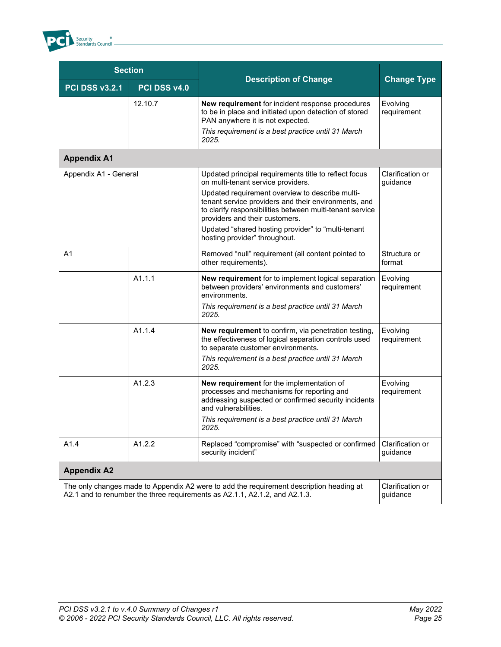

| <b>Section</b>        |              |                                                                                                                                                                                                                                        |                              |  |
|-----------------------|--------------|----------------------------------------------------------------------------------------------------------------------------------------------------------------------------------------------------------------------------------------|------------------------------|--|
| <b>PCI DSS v3.2.1</b> | PCI DSS v4.0 | <b>Description of Change</b>                                                                                                                                                                                                           | <b>Change Type</b>           |  |
|                       | 12.10.7      | New requirement for incident response procedures<br>to be in place and initiated upon detection of stored<br>PAN anywhere it is not expected.                                                                                          | Evolving<br>requirement      |  |
|                       |              | This requirement is a best practice until 31 March<br>2025.                                                                                                                                                                            |                              |  |
| <b>Appendix A1</b>    |              |                                                                                                                                                                                                                                        |                              |  |
| Appendix A1 - General |              | Updated principal requirements title to reflect focus<br>on multi-tenant service providers.                                                                                                                                            | Clarification or<br>guidance |  |
|                       |              | Updated requirement overview to describe multi-<br>tenant service providers and their environments, and<br>to clarify responsibilities between multi-tenant service<br>providers and their customers.                                  |                              |  |
|                       |              | Updated "shared hosting provider" to "multi-tenant<br>hosting provider" throughout.                                                                                                                                                    |                              |  |
| A <sub>1</sub>        |              | Removed "null" requirement (all content pointed to<br>other requirements).                                                                                                                                                             | Structure or<br>format       |  |
| A1.1.1                |              | New requirement for to implement logical separation<br>between providers' environments and customers'<br>environments.<br>This requirement is a best practice until 31 March                                                           | Evolving<br>requirement      |  |
|                       | A1.1.4       | 2025.<br>New requirement to confirm, via penetration testing,<br>the effectiveness of logical separation controls used<br>to separate customer environments.<br>This requirement is a best practice until 31 March<br>2025.            | Evolving<br>requirement      |  |
| A1.2.3                |              | New requirement for the implementation of<br>processes and mechanisms for reporting and<br>addressing suspected or confirmed security incidents<br>and vulnerabilities.<br>This requirement is a best practice until 31 March<br>2025. | Evolving<br>requirement      |  |
| A1.4                  | A1.2.2       | Replaced "compromise" with "suspected or confirmed<br>security incident"                                                                                                                                                               | Clarification or<br>guidance |  |
| <b>Appendix A2</b>    |              |                                                                                                                                                                                                                                        |                              |  |
|                       |              | The only changes made to Appendix A2 were to add the requirement description heading at<br>A2.1 and to renumber the three requirements as A2.1.1, A2.1.2, and A2.1.3.                                                                  | Clarification or<br>guidance |  |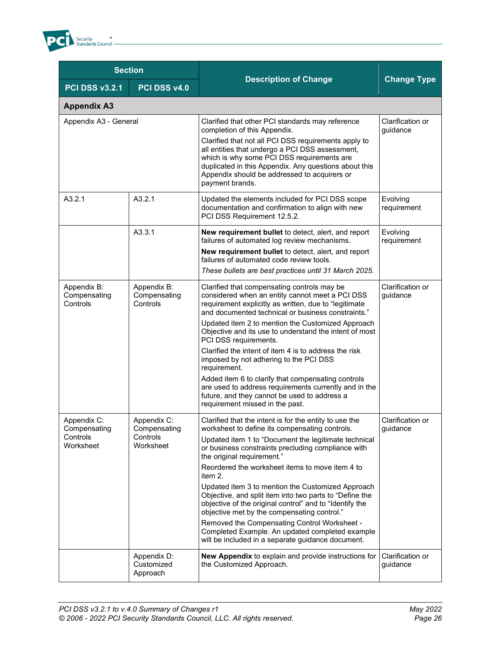

| <b>Section</b>                                       |                                                      |                                                                                                                                                                                                                                                                                                                                                                                                                                                                                                                                                                                                                                                                                                      |                              |  |
|------------------------------------------------------|------------------------------------------------------|------------------------------------------------------------------------------------------------------------------------------------------------------------------------------------------------------------------------------------------------------------------------------------------------------------------------------------------------------------------------------------------------------------------------------------------------------------------------------------------------------------------------------------------------------------------------------------------------------------------------------------------------------------------------------------------------------|------------------------------|--|
| <b>PCI DSS v3.2.1</b>                                | PCI DSS v4.0                                         | <b>Description of Change</b>                                                                                                                                                                                                                                                                                                                                                                                                                                                                                                                                                                                                                                                                         | <b>Change Type</b>           |  |
| <b>Appendix A3</b>                                   |                                                      |                                                                                                                                                                                                                                                                                                                                                                                                                                                                                                                                                                                                                                                                                                      |                              |  |
| Appendix A3 - General                                |                                                      | Clarified that other PCI standards may reference<br>completion of this Appendix.<br>Clarified that not all PCI DSS requirements apply to<br>all entities that undergo a PCI DSS assessment,<br>which is why some PCI DSS requirements are<br>duplicated in this Appendix. Any questions about this<br>Appendix should be addressed to acquirers or<br>payment brands.                                                                                                                                                                                                                                                                                                                                | Clarification or<br>guidance |  |
| A3.2.1                                               | A3.2.1                                               | Updated the elements included for PCI DSS scope<br>documentation and confirmation to align with new<br>PCI DSS Requirement 12.5.2.                                                                                                                                                                                                                                                                                                                                                                                                                                                                                                                                                                   | Evolving<br>requirement      |  |
|                                                      | A3.3.1                                               | New requirement bullet to detect, alert, and report<br>failures of automated log review mechanisms.<br>New requirement bullet to detect, alert, and report<br>failures of automated code review tools.<br>These bullets are best practices until 31 March 2025.                                                                                                                                                                                                                                                                                                                                                                                                                                      | Evolving<br>requirement      |  |
| Appendix B:<br>Compensating<br>Controls              | Appendix B:<br>Compensating<br>Controls              | Clarified that compensating controls may be<br>considered when an entity cannot meet a PCI DSS<br>requirement explicitly as written, due to "legitimate<br>and documented technical or business constraints."<br>Updated item 2 to mention the Customized Approach<br>Objective and its use to understand the intent of most<br>PCI DSS requirements.<br>Clarified the intent of item 4 is to address the risk<br>imposed by not adhering to the PCI DSS<br>requirement.                                                                                                                                                                                                                             | Clarification or<br>guidance |  |
|                                                      |                                                      | Added item 6 to clarify that compensating controls<br>are used to address requirements currently and in the<br>future, and they cannot be used to address a<br>requirement missed in the past.                                                                                                                                                                                                                                                                                                                                                                                                                                                                                                       |                              |  |
| Appendix C:<br>Compensating<br>Controls<br>Worksheet | Appendix C:<br>Compensating<br>Controls<br>Worksheet | Clarified that the intent is for the entity to use the<br>worksheet to define its compensating controls.<br>Updated item 1 to "Document the legitimate technical<br>or business constraints precluding compliance with<br>the original requirement."<br>Reordered the worksheet items to move item 4 to<br>item 2.<br>Updated item 3 to mention the Customized Approach<br>Objective, and split item into two parts to "Define the<br>objective of the original control" and to "Identify the<br>objective met by the compensating control."<br>Removed the Compensating Control Worksheet -<br>Completed Example. An updated completed example<br>will be included in a separate guidance document. | Clarification or<br>guidance |  |
|                                                      | Appendix D:<br>Customized<br>Approach                | New Appendix to explain and provide instructions for<br>the Customized Approach.                                                                                                                                                                                                                                                                                                                                                                                                                                                                                                                                                                                                                     | Clarification or<br>guidance |  |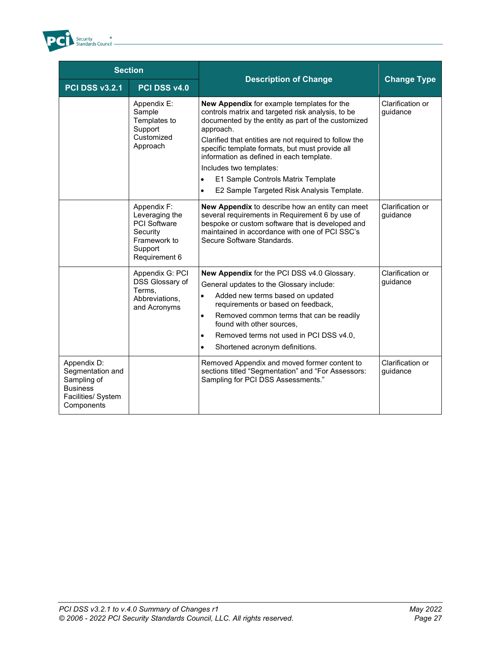

| <b>Section</b>                                                                                        |                                                                                                              |                                                                                                                                                                                                                                                                                                                                                                                                                                                                             |                              |
|-------------------------------------------------------------------------------------------------------|--------------------------------------------------------------------------------------------------------------|-----------------------------------------------------------------------------------------------------------------------------------------------------------------------------------------------------------------------------------------------------------------------------------------------------------------------------------------------------------------------------------------------------------------------------------------------------------------------------|------------------------------|
| <b>PCI DSS v3.2.1</b>                                                                                 | PCI DSS v4.0                                                                                                 | <b>Description of Change</b>                                                                                                                                                                                                                                                                                                                                                                                                                                                | <b>Change Type</b>           |
|                                                                                                       | Appendix E:<br>Sample<br>Templates to<br>Support<br>Customized<br>Approach                                   | <b>New Appendix</b> for example templates for the<br>controls matrix and targeted risk analysis, to be<br>documented by the entity as part of the customized<br>approach.<br>Clarified that entities are not required to follow the<br>specific template formats, but must provide all<br>information as defined in each template.<br>Includes two templates:<br>E1 Sample Controls Matrix Template<br>$\bullet$<br>E2 Sample Targeted Risk Analysis Template.<br>$\bullet$ | Clarification or<br>quidance |
|                                                                                                       | Appendix F:<br>Leveraging the<br><b>PCI Software</b><br>Security<br>Framework to<br>Support<br>Requirement 6 | New Appendix to describe how an entity can meet<br>several requirements in Requirement 6 by use of<br>bespoke or custom software that is developed and<br>maintained in accordance with one of PCI SSC's<br>Secure Software Standards.                                                                                                                                                                                                                                      | Clarification or<br>quidance |
|                                                                                                       | Appendix G: PCI<br>DSS Glossary of<br>Terms.<br>Abbreviations,<br>and Acronyms                               | New Appendix for the PCI DSS v4.0 Glossary.<br>General updates to the Glossary include:<br>Added new terms based on updated<br>$\bullet$<br>requirements or based on feedback,<br>Removed common terms that can be readily<br>$\bullet$<br>found with other sources,<br>Removed terms not used in PCI DSS v4.0,<br>$\bullet$<br>Shortened acronym definitions.<br>$\bullet$                                                                                                 | Clarification or<br>guidance |
| Appendix D:<br>Segmentation and<br>Sampling of<br><b>Business</b><br>Facilities/ System<br>Components |                                                                                                              | Removed Appendix and moved former content to<br>sections titled "Segmentation" and "For Assessors:<br>Sampling for PCI DSS Assessments."                                                                                                                                                                                                                                                                                                                                    | Clarification or<br>guidance |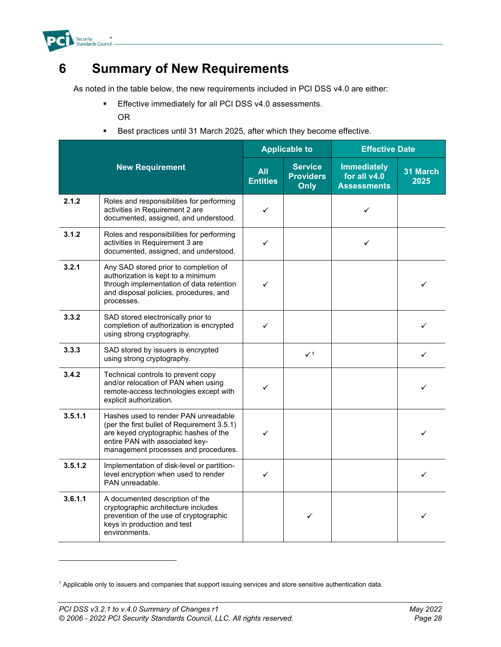

#### <span id="page-30-0"></span>**6 Summary of New Requirements**

As noted in the table below, the new requirements included in PCI DSS v4.0 are either:

- **Effective immediately for all PCI DSS v4.0 assessments.** OR
- **Best practices until 31 March 2025, after which they become effective.**

|         |                                                                                                                                                                                                         |                               | <b>Applicable to</b>                       | <b>Effective Date</b>                                    |                  |
|---------|---------------------------------------------------------------------------------------------------------------------------------------------------------------------------------------------------------|-------------------------------|--------------------------------------------|----------------------------------------------------------|------------------|
|         | <b>New Requirement</b>                                                                                                                                                                                  | <b>All</b><br><b>Entities</b> | <b>Service</b><br><b>Providers</b><br>Only | <b>Immediately</b><br>for all v4.0<br><b>Assessments</b> | 31 March<br>2025 |
| 2.1.2   | Roles and responsibilities for performing<br>activities in Requirement 2 are<br>documented, assigned, and understood.                                                                                   | ✓                             |                                            | ✓                                                        |                  |
| 3.1.2   | Roles and responsibilities for performing<br>activities in Requirement 3 are<br>documented, assigned, and understood.                                                                                   | ✓                             |                                            | ✓                                                        |                  |
| 3.2.1   | Any SAD stored prior to completion of<br>authorization is kept to a minimum<br>through implementation of data retention<br>and disposal policies, procedures, and<br>processes.                         | ✓                             |                                            |                                                          | ✓                |
| 3.3.2   | SAD stored electronically prior to<br>completion of authorization is encrypted<br>using strong cryptography.                                                                                            | ✓                             |                                            |                                                          | ✓                |
| 3.3.3   | SAD stored by issuers is encrypted<br>using strong cryptography.                                                                                                                                        |                               | $\checkmark$ 1                             |                                                          | ✓                |
| 3.4.2   | Technical controls to prevent copy<br>and/or relocation of PAN when using<br>remote-access technologies except with<br>explicit authorization.                                                          | ✓                             |                                            |                                                          | ✓                |
| 3.5.1.1 | Hashes used to render PAN unreadable<br>(per the first bullet of Requirement 3.5.1)<br>are keyed cryptographic hashes of the<br>entire PAN with associated key-<br>management processes and procedures. | ✓                             |                                            |                                                          | ✓                |
| 3.5.1.2 | Implementation of disk-level or partition-<br>level encryption when used to render<br>PAN unreadable.                                                                                                   | ✓                             |                                            |                                                          | ✓                |
| 3.6.1.1 | A documented description of the<br>cryptographic architecture includes<br>prevention of the use of cryptographic<br>keys in production and test<br>environments.                                        |                               | ✓                                          |                                                          | ✓                |

<span id="page-30-1"></span><sup>1</sup> Applicable only to issuers and companies that support issuing services and store sensitive authentication data.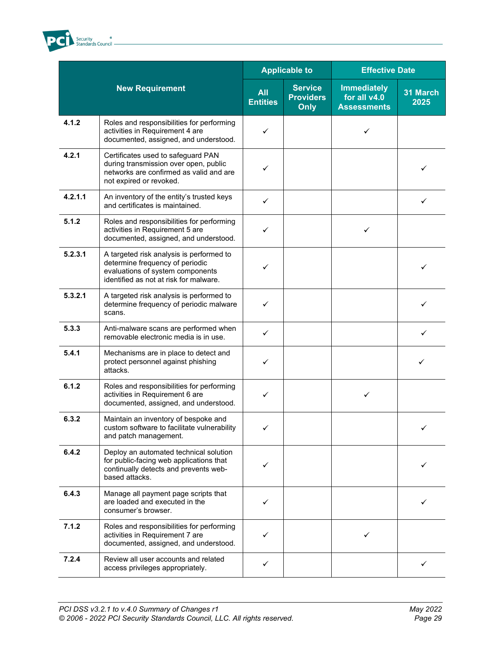

|         |                                                                                                                                                           |                               | <b>Applicable to</b>                              | <b>Effective Date</b>                                    |                  |
|---------|-----------------------------------------------------------------------------------------------------------------------------------------------------------|-------------------------------|---------------------------------------------------|----------------------------------------------------------|------------------|
|         | <b>New Requirement</b>                                                                                                                                    | <b>All</b><br><b>Entities</b> | <b>Service</b><br><b>Providers</b><br><b>Only</b> | <b>Immediately</b><br>for all v4.0<br><b>Assessments</b> | 31 March<br>2025 |
| 4.1.2   | Roles and responsibilities for performing<br>activities in Requirement 4 are<br>documented, assigned, and understood.                                     | ✓                             |                                                   | ✓                                                        |                  |
| 4.2.1   | Certificates used to safeguard PAN<br>during transmission over open, public<br>networks are confirmed as valid and are<br>not expired or revoked.         |                               |                                                   |                                                          | ✓                |
| 4.2.1.1 | An inventory of the entity's trusted keys<br>and certificates is maintained.                                                                              | ✓                             |                                                   |                                                          | ✓                |
| 5.1.2   | Roles and responsibilities for performing<br>activities in Requirement 5 are<br>documented, assigned, and understood.                                     | ✓                             |                                                   | ✓                                                        |                  |
| 5.2.3.1 | A targeted risk analysis is performed to<br>determine frequency of periodic<br>evaluations of system components<br>identified as not at risk for malware. | ✓                             |                                                   |                                                          | ✓                |
| 5.3.2.1 | A targeted risk analysis is performed to<br>determine frequency of periodic malware<br>scans.                                                             |                               |                                                   |                                                          | ✓                |
| 5.3.3   | Anti-malware scans are performed when<br>removable electronic media is in use.                                                                            | ✓                             |                                                   |                                                          | ✓                |
| 5.4.1   | Mechanisms are in place to detect and<br>protect personnel against phishing<br>attacks.                                                                   | ✓                             |                                                   |                                                          | ✓                |
| 6.1.2   | Roles and responsibilities for performing<br>activities in Requirement 6 are<br>documented, assigned, and understood.                                     | ✓                             |                                                   | ✓                                                        |                  |
| 6.3.2   | Maintain an inventory of bespoke and<br>custom software to facilitate vulnerability<br>and patch management.                                              |                               |                                                   |                                                          |                  |
| 6.4.2   | Deploy an automated technical solution<br>for public-facing web applications that<br>continually detects and prevents web-<br>based attacks.              |                               |                                                   |                                                          |                  |
| 6.4.3   | Manage all payment page scripts that<br>are loaded and executed in the<br>consumer's browser.                                                             | ✓                             |                                                   |                                                          |                  |
| 7.1.2   | Roles and responsibilities for performing<br>activities in Requirement 7 are<br>documented, assigned, and understood.                                     | ✓                             |                                                   | ✓                                                        |                  |
| 7.2.4   | Review all user accounts and related<br>access privileges appropriately.                                                                                  | ✓                             |                                                   |                                                          | ✓                |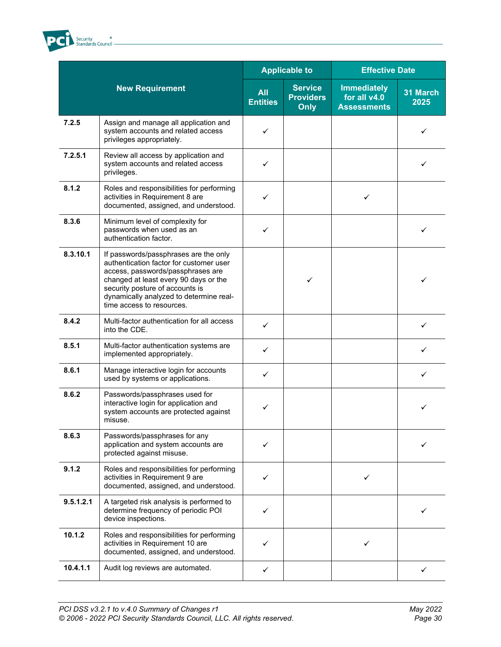

|           |                                                                                                                                                                                                                                                                           |                               | <b>Applicable to</b>                              | <b>Effective Date</b>                                    |                  |
|-----------|---------------------------------------------------------------------------------------------------------------------------------------------------------------------------------------------------------------------------------------------------------------------------|-------------------------------|---------------------------------------------------|----------------------------------------------------------|------------------|
|           | <b>New Requirement</b>                                                                                                                                                                                                                                                    | <b>All</b><br><b>Entities</b> | <b>Service</b><br><b>Providers</b><br><b>Only</b> | <b>Immediately</b><br>for all v4.0<br><b>Assessments</b> | 31 March<br>2025 |
| 7.2.5     | Assign and manage all application and<br>system accounts and related access<br>privileges appropriately.                                                                                                                                                                  | ✓                             |                                                   |                                                          | ✓                |
| 7.2.5.1   | Review all access by application and<br>system accounts and related access<br>privileges.                                                                                                                                                                                 | ✓                             |                                                   |                                                          | ✓                |
| 8.1.2     | Roles and responsibilities for performing<br>activities in Requirement 8 are<br>documented, assigned, and understood.                                                                                                                                                     | ✓                             |                                                   | ✓                                                        |                  |
| 8.3.6     | Minimum level of complexity for<br>passwords when used as an<br>authentication factor.                                                                                                                                                                                    | ✓                             |                                                   |                                                          | ✓                |
| 8.3.10.1  | If passwords/passphrases are the only<br>authentication factor for customer user<br>access, passwords/passphrases are<br>changed at least every 90 days or the<br>security posture of accounts is<br>dynamically analyzed to determine real-<br>time access to resources. |                               | $\checkmark$                                      |                                                          | ✓                |
| 8.4.2     | Multi-factor authentication for all access<br>into the CDE.                                                                                                                                                                                                               | ✓                             |                                                   |                                                          | ✓                |
| 8.5.1     | Multi-factor authentication systems are<br>implemented appropriately.                                                                                                                                                                                                     | ✓                             |                                                   |                                                          |                  |
| 8.6.1     | Manage interactive login for accounts<br>used by systems or applications.                                                                                                                                                                                                 | ✓                             |                                                   |                                                          | ✓                |
| 8.6.2     | Passwords/passphrases used for<br>interactive login for application and<br>system accounts are protected against<br>misuse.                                                                                                                                               | ✓                             |                                                   |                                                          | ✓                |
| 8.6.3     | Passwords/passphrases for any<br>application and system accounts are<br>protected against misuse.                                                                                                                                                                         | ✓                             |                                                   |                                                          |                  |
| 9.1.2     | Roles and responsibilities for performing<br>activities in Requirement 9 are<br>documented, assigned, and understood.                                                                                                                                                     | ✓                             |                                                   | ✓                                                        |                  |
| 9.5.1.2.1 | A targeted risk analysis is performed to<br>determine frequency of periodic POI<br>device inspections.                                                                                                                                                                    | ✓                             |                                                   |                                                          |                  |
| 10.1.2    | Roles and responsibilities for performing<br>activities in Requirement 10 are<br>documented, assigned, and understood.                                                                                                                                                    | ✓                             |                                                   | ✓                                                        |                  |
| 10.4.1.1  | Audit log reviews are automated.                                                                                                                                                                                                                                          | ✓                             |                                                   |                                                          | ✓                |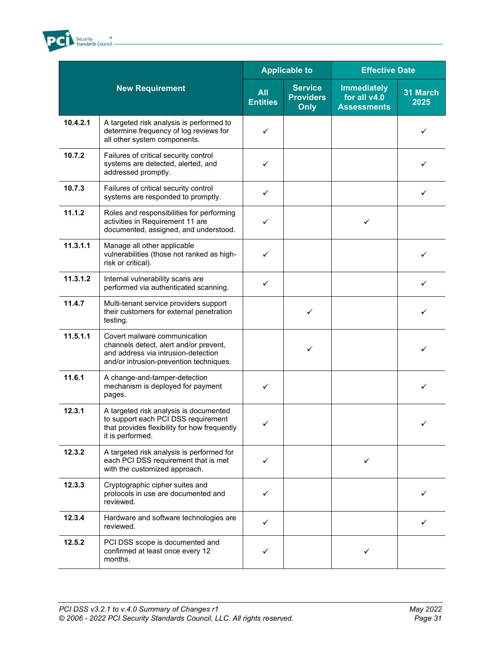

|          |                                                                                                                                                          |                               | <b>Applicable to</b>                              | <b>Effective Date</b>                                    |                  |
|----------|----------------------------------------------------------------------------------------------------------------------------------------------------------|-------------------------------|---------------------------------------------------|----------------------------------------------------------|------------------|
|          | <b>New Requirement</b>                                                                                                                                   | <b>All</b><br><b>Entities</b> | <b>Service</b><br><b>Providers</b><br><b>Only</b> | <b>Immediately</b><br>for all v4.0<br><b>Assessments</b> | 31 March<br>2025 |
| 10.4.2.1 | A targeted risk analysis is performed to<br>determine frequency of log reviews for<br>all other system components.                                       | ✓                             |                                                   |                                                          | ✓                |
| 10.7.2   | Failures of critical security control<br>systems are detected, alerted, and<br>addressed promptly.                                                       | ✓                             |                                                   |                                                          |                  |
| 10.7.3   | Failures of critical security control<br>systems are responded to promptly.                                                                              | ✓                             |                                                   |                                                          | ✓                |
| 11.1.2   | Roles and responsibilities for performing<br>activities in Requirement 11 are<br>documented, assigned, and understood.                                   | ✓                             |                                                   | ✓                                                        |                  |
| 11.3.1.1 | Manage all other applicable<br>vulnerabilities (those not ranked as high-<br>risk or critical).                                                          | ✓                             |                                                   |                                                          | ✓                |
| 11.3.1.2 | Internal vulnerability scans are<br>performed via authenticated scanning.                                                                                | ✓                             |                                                   |                                                          | ✓                |
| 11.4.7   | Multi-tenant service providers support<br>their customers for external penetration<br>testing.                                                           |                               | ✓                                                 |                                                          | ✓                |
| 11.5.1.1 | Covert malware communication<br>channels detect, alert and/or prevent,<br>and address via intrusion-detection<br>and/or intrusion-prevention techniques. |                               | ✓                                                 |                                                          | ✓                |
| 11.6.1   | A change-and-tamper-detection<br>mechanism is deployed for payment<br>pages.                                                                             | ✓                             |                                                   |                                                          | ✓                |
| 12.3.1   | A targeted risk analysis is documented<br>to support each PCI DSS requirement<br>that provides flexibility for how frequently<br>it is performed.        | ✓                             |                                                   |                                                          | ✓                |
| 12.3.2   | A targeted risk analysis is performed for<br>each PCI DSS requirement that is met<br>with the customized approach.                                       | ✓                             |                                                   | ✓                                                        |                  |
| 12.3.3   | Cryptographic cipher suites and<br>protocols in use are documented and<br>reviewed.                                                                      | ✓                             |                                                   |                                                          |                  |
| 12.3.4   | Hardware and software technologies are<br>reviewed.                                                                                                      | ✓                             |                                                   |                                                          | ✓                |
| 12.5.2   | PCI DSS scope is documented and<br>confirmed at least once every 12<br>months.                                                                           | ✓                             |                                                   |                                                          |                  |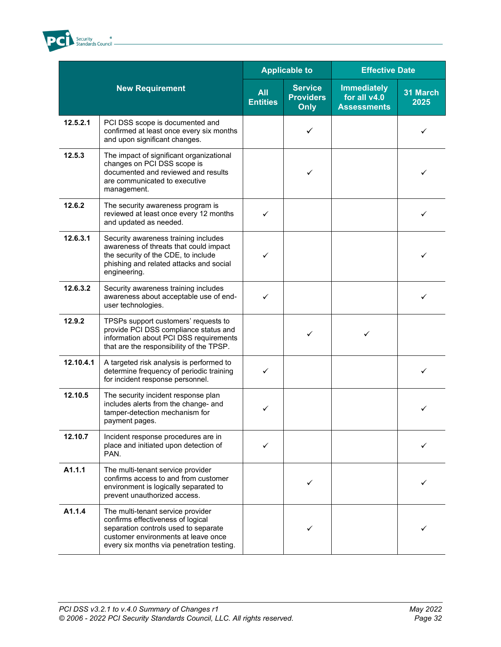

|           |                                                                                                                                                                                                    |                               | <b>Applicable to</b>                              | <b>Effective Date</b>                                    |                  |
|-----------|----------------------------------------------------------------------------------------------------------------------------------------------------------------------------------------------------|-------------------------------|---------------------------------------------------|----------------------------------------------------------|------------------|
|           | <b>New Requirement</b>                                                                                                                                                                             | <b>All</b><br><b>Entities</b> | <b>Service</b><br><b>Providers</b><br><b>Only</b> | <b>Immediately</b><br>for all v4.0<br><b>Assessments</b> | 31 March<br>2025 |
| 12.5.2.1  | PCI DSS scope is documented and<br>confirmed at least once every six months<br>and upon significant changes.                                                                                       |                               | ✓                                                 |                                                          | ✓                |
| 12.5.3    | The impact of significant organizational<br>changes on PCI DSS scope is<br>documented and reviewed and results<br>are communicated to executive<br>management.                                     |                               | ✓                                                 |                                                          | ✓                |
| 12.6.2    | The security awareness program is<br>reviewed at least once every 12 months<br>and updated as needed.                                                                                              | ✓                             |                                                   |                                                          | ✓                |
| 12.6.3.1  | Security awareness training includes<br>awareness of threats that could impact<br>the security of the CDE, to include<br>phishing and related attacks and social<br>engineering.                   | ✓                             |                                                   |                                                          | ✓                |
| 12.6.3.2  | Security awareness training includes<br>awareness about acceptable use of end-<br>user technologies.                                                                                               | ✓                             |                                                   |                                                          | ✓                |
| 12.9.2    | TPSPs support customers' requests to<br>provide PCI DSS compliance status and<br>information about PCI DSS requirements<br>that are the responsibility of the TPSP.                                |                               | ✓                                                 |                                                          |                  |
| 12.10.4.1 | A targeted risk analysis is performed to<br>determine frequency of periodic training<br>for incident response personnel.                                                                           | ✓                             |                                                   |                                                          | ✓                |
| 12.10.5   | The security incident response plan<br>includes alerts from the change- and<br>tamper-detection mechanism for<br>payment pages.                                                                    | ✓                             |                                                   |                                                          |                  |
| 12.10.7   | Incident response procedures are in<br>place and initiated upon detection of<br>PAN.                                                                                                               | ✓                             |                                                   |                                                          |                  |
| A1.1.1    | The multi-tenant service provider<br>confirms access to and from customer<br>environment is logically separated to<br>prevent unauthorized access.                                                 |                               | ✓                                                 |                                                          |                  |
| A1.1.4    | The multi-tenant service provider<br>confirms effectiveness of logical<br>separation controls used to separate<br>customer environments at leave once<br>every six months via penetration testing. |                               |                                                   |                                                          |                  |